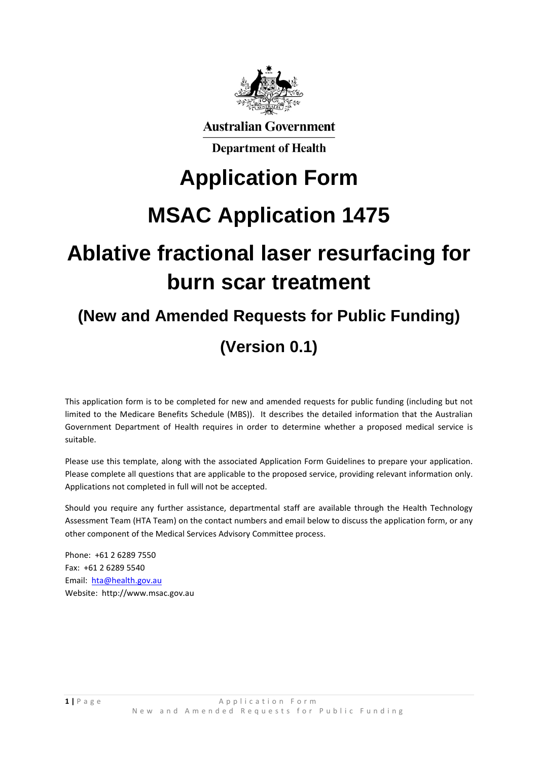

**Australian Government** 

**Department of Health** 

# **Application Form**

# **MSAC Application 1475**

# **Ablative fractional laser resurfacing for burn scar treatment**

# **(New and Amended Requests for Public Funding) (Version 0.1)**

This application form is to be completed for new and amended requests for public funding (including but not limited to the Medicare Benefits Schedule (MBS)). It describes the detailed information that the Australian Government Department of Health requires in order to determine whether a proposed medical service is suitable.

Please use this template, along with the associated Application Form Guidelines to prepare your application. Please complete all questions that are applicable to the proposed service, providing relevant information only. Applications not completed in full will not be accepted.

Should you require any further assistance, departmental staff are available through the Health Technology Assessment Team (HTA Team) on the contact numbers and email below to discuss the application form, or any other component of the Medical Services Advisory Committee process.

Phone: +61 2 6289 7550 Fax: +61 2 6289 5540 Email: [hta@health.gov.au](mailto:hta@health.gov.au) Website: http://www.msac.gov.au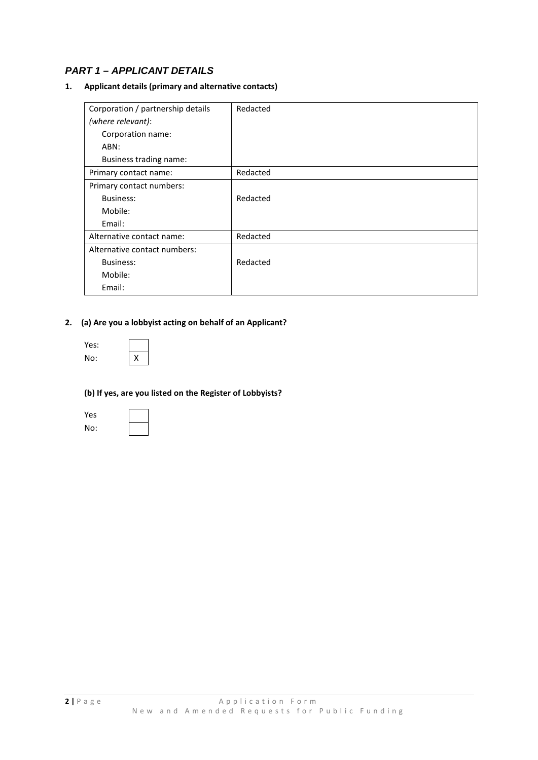# *PART 1 – APPLICANT DETAILS*

## **1. Applicant details (primary and alternative contacts)**

| Corporation / partnership details | Redacted |
|-----------------------------------|----------|
| (where relevant):                 |          |
| Corporation name:                 |          |
| ABN:                              |          |
| Business trading name:            |          |
| Primary contact name:             | Redacted |
| Primary contact numbers:          |          |
| Business:                         | Redacted |
| Mobile:                           |          |
| Email:                            |          |
| Alternative contact name:         | Redacted |
| Alternative contact numbers:      |          |
| Business:                         | Redacted |
| Mobile:                           |          |
| Email:                            |          |

## **2. (a) Are you a lobbyist acting on behalf of an Applicant?**

| Yes: |  |
|------|--|
| No:  |  |

 $\mathsf X$ 

### **(b) If yes, are you listed on the Register of Lobbyists?**

| Yes |  |
|-----|--|
| No: |  |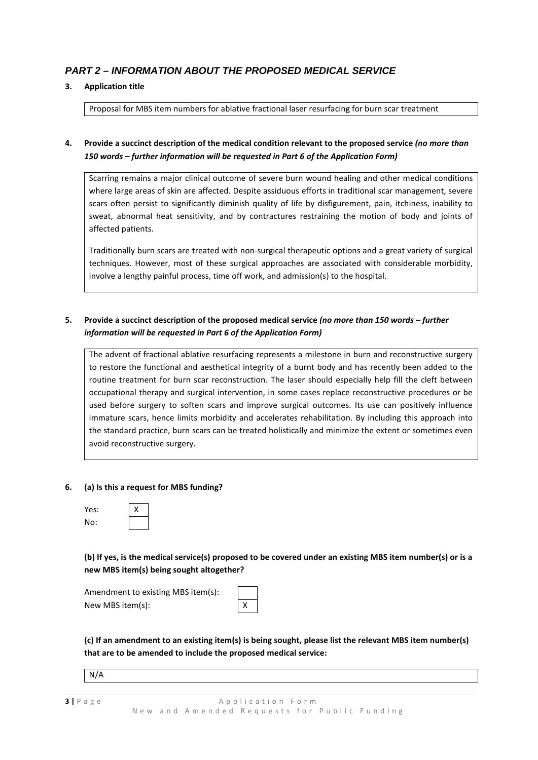# *PART 2 – INFORMATION ABOUT THE PROPOSED MEDICAL SERVICE*

## **3. Application title**

Proposal for MBS item numbers for ablative fractional laser resurfacing for burn scar treatment

## **4. Provide a succinct description of the medical condition relevant to the proposed service** *(no more than 150 words – further information will be requested in Part 6 of the Application Form)*

Scarring remains a major clinical outcome of severe burn wound healing and other medical conditions where large areas of skin are affected. Despite assiduous efforts in traditional scar management, severe scars often persist to significantly diminish quality of life by disfigurement, pain, itchiness, inability to sweat, abnormal heat sensitivity, and by contractures restraining the motion of body and joints of affected patients.

Traditionally burn scars are treated with non-surgical therapeutic options and a great variety of surgical techniques. However, most of these surgical approaches are associated with considerable morbidity, involve a lengthy painful process, time off work, and admission(s) to the hospital.

## **5. Provide a succinct description of the proposed medical service** *(no more than 150 words – further information will be requested in Part 6 of the Application Form)*

The advent of fractional ablative resurfacing represents a milestone in burn and reconstructive surgery to restore the functional and aesthetical integrity of a burnt body and has recently been added to the routine treatment for burn scar reconstruction. The laser should especially help fill the cleft between occupational therapy and surgical intervention, in some cases replace reconstructive procedures or be used before surgery to soften scars and improve surgical outcomes. Its use can positively influence immature scars, hence limits morbidity and accelerates rehabilitation. By including this approach into the standard practice, burn scars can be treated holistically and minimize the extent or sometimes even avoid reconstructive surgery.

#### **6. (a) Is this a request for MBS funding?**

| Yes: | х |
|------|---|
| No:  |   |

**(b) If yes, is the medical service(s) proposed to be covered under an existing MBS item number(s) or is a new MBS item(s) being sought altogether?**

| Amendment to existing MBS item(s): |           |
|------------------------------------|-----------|
| New MBS item(s):                   | $\vert x$ |

**(c) If an amendment to an existing item(s) is being sought, please list the relevant MBS item number(s) that are to be amended to include the proposed medical service:** 

N/A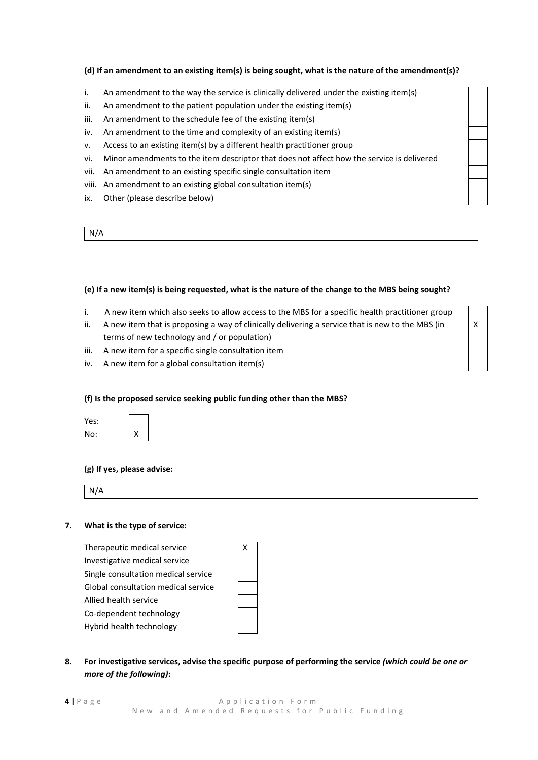### **(d) If an amendment to an existing item(s) is being sought, what is the nature of the amendment(s)?**

- i. An amendment to the way the service is clinically delivered under the existing item(s)
- ii. An amendment to the patient population under the existing item(s)
- iii. An amendment to the schedule fee of the existing item(s)
- iv. An amendment to the time and complexity of an existing item(s)
- v. Access to an existing item(s) by a different health practitioner group
- vi. Minor amendments to the item descriptor that does not affect how the service is delivered
- vii. An amendment to an existing specific single consultation item
- viii. An amendment to an existing global consultation item(s)
- ix. Other (please describe below)

N/A

### **(e) If a new item(s) is being requested, what is the nature of the change to the MBS being sought?**

- i. A new item which also seeks to allow access to the MBS for a specific health practitioner group
- ii. A new item that is proposing a way of clinically delivering a service that is new to the MBS (in terms of new technology and / or population)
- iii. A new item for a specific single consultation item
- iv. A new item for a global consultation item(s)

#### **(f) Is the proposed service seeking public funding other than the MBS?**

| Yes: |   |
|------|---|
| No:  | х |

### **(g) If yes, please advise:**

N/A

#### **7. What is the type of service:**

Therapeutic medical service Investigative medical service Single consultation medical service Global consultation medical service Allied health service Co-dependent technology Hybrid health technology

| X |  |
|---|--|
|   |  |
|   |  |
|   |  |
|   |  |
|   |  |

**8. For investigative services, advise the specific purpose of performing the service** *(which could be one or more of the following)***:**

|  | <br>× | ٧ |
|--|-------|---|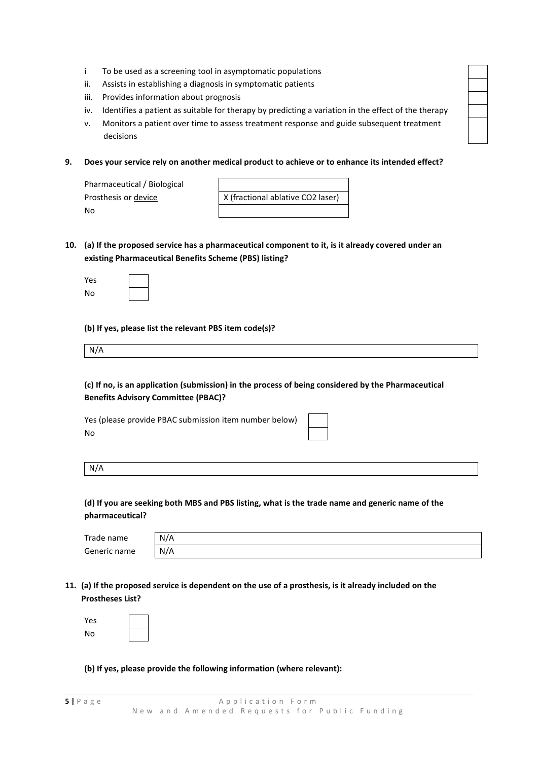- i To be used as a screening tool in asymptomatic populations
- ii. Assists in establishing a diagnosis in symptomatic patients
- iii. Provides information about prognosis
- iv. Identifies a patient as suitable for therapy by predicting a variation in the effect of the therapy
- v. Monitors a patient over time to assess treatment response and guide subsequent treatment decisions
- **9. Does your service rely on another medical product to achieve or to enhance its intended effect?**

| Pharmaceutical / Biological |                                   |
|-----------------------------|-----------------------------------|
| Prosthesis or device        | X (fractional ablative CO2 laser) |
| Nο                          |                                   |

**10. (a) If the proposed service has a pharmaceutical component to it, is it already covered under an existing Pharmaceutical Benefits Scheme (PBS) listing?**

| Yes |           |
|-----|-----------|
| No  | <br> <br> |

**(b) If yes, please list the relevant PBS item code(s)?**

| N/A |  |  |
|-----|--|--|
|     |  |  |

**(c) If no, is an application (submission) in the process of being considered by the Pharmaceutical Benefits Advisory Committee (PBAC)?**

Yes (please provide PBAC submission item number below) No

N/A

## **(d) If you are seeking both MBS and PBS listing, what is the trade name and generic name of the pharmaceutical?**

| Trade name   | N/A |
|--------------|-----|
| Generic name | N/A |

**11. (a) If the proposed service is dependent on the use of a prosthesis, is it already included on the Prostheses List?**

| Yes |  |
|-----|--|
| No  |  |

**(b) If yes, please provide the following information (where relevant):**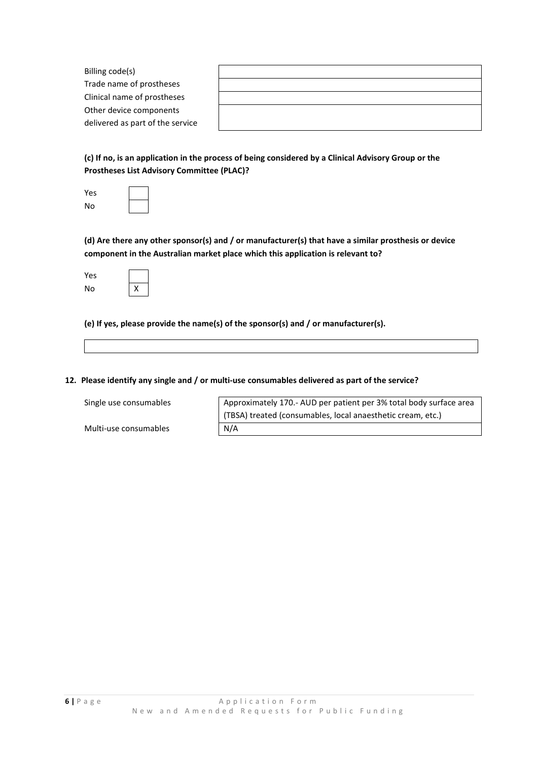| Billing code(s)                  |  |
|----------------------------------|--|
| Trade name of prostheses         |  |
| Clinical name of prostheses      |  |
| Other device components          |  |
| delivered as part of the service |  |

**(c) If no, is an application in the process of being considered by a Clinical Advisory Group or the Prostheses List Advisory Committee (PLAC)?**

| Yes |  |
|-----|--|
| No  |  |

**(d) Are there any other sponsor(s) and / or manufacturer(s) that have a similar prosthesis or device component in the Australian market place which this application is relevant to?**

| Yes |   |
|-----|---|
| No  | x |

**(e) If yes, please provide the name(s) of the sponsor(s) and / or manufacturer(s).** 

#### **12. Please identify any single and / or multi-use consumables delivered as part of the service?**

Multi-use consumables N/A

Single use consumables  $\sqrt{\phantom{a}}$  Approximately 170.- AUD per patient per 3% total body surface area (TBSA) treated (consumables, local anaesthetic cream, etc.)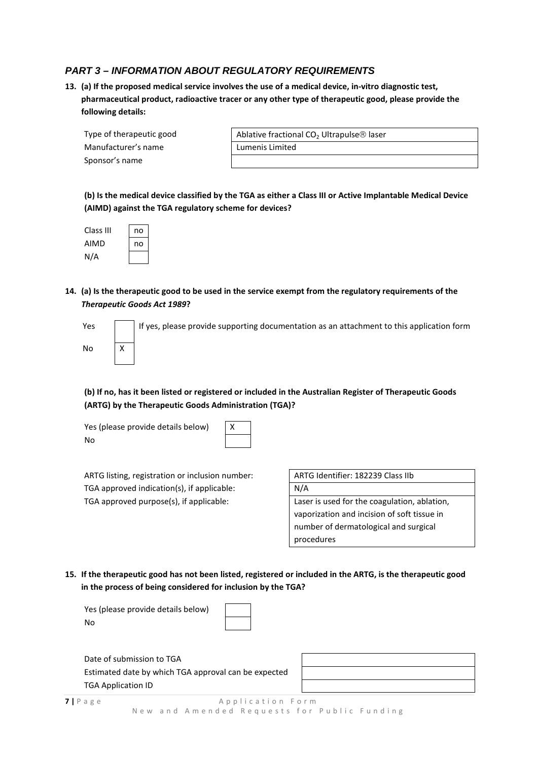# *PART 3 – INFORMATION ABOUT REGULATORY REQUIREMENTS*

**13. (a) If the proposed medical service involves the use of a medical device, in-vitro diagnostic test, pharmaceutical product, radioactive tracer or any other type of therapeutic good, please provide the following details:**

| Type of therapeutic good | Ablative fraction |  |
|--------------------------|-------------------|--|
| Manufacturer's name      | Lumenis Limited   |  |
| Sponsor's name           |                   |  |

| Type of therapeutic good | Ablative fractional CO <sub>2</sub> Ultrapulse <sup>®</sup> laser |  |
|--------------------------|-------------------------------------------------------------------|--|
| Manufacturer's name      | Lumenis Limited                                                   |  |

**(b) Is the medical device classified by the TGA as either a Class III or Active Implantable Medical Device (AIMD) against the TGA regulatory scheme for devices?**

| Class III | no |
|-----------|----|
| AIMD      | no |
| N/A       |    |

**14. (a) Is the therapeutic good to be used in the service exempt from the regulatory requirements of the**  *Therapeutic Goods Act 1989***?**

| Yes | If yes, please provide supporting documentation as an attachment to this application form |
|-----|-------------------------------------------------------------------------------------------|
| No  |                                                                                           |

**(b) If no, has it been listed or registered or included in the Australian Register of Therapeutic Goods (ARTG) by the Therapeutic Goods Administration (TGA)?**

Yes (please provide details below) No

ARTG listing, registration or inclusion number: TGA approved indication(s), if applicable:  $N/A$ TGA approved purpose(s), if applicable: Laser is used for the coagulation, ablation,

| ARTG Identifier: 182239 Class IIb |  |
|-----------------------------------|--|
| . . <i>.</i> .                    |  |

vaporization and incision of soft tissue in number of dermatological and surgical procedures

**15. If the therapeutic good has not been listed, registered or included in the ARTG, is the therapeutic good in the process of being considered for inclusion by the TGA?**

| Yes (please provide details below) |  |
|------------------------------------|--|
| No                                 |  |

Date of submission to TGA Estimated date by which TGA approval can be expected TGA Application ID

**7** | Page Application Form New and Amended Requests for Public Funding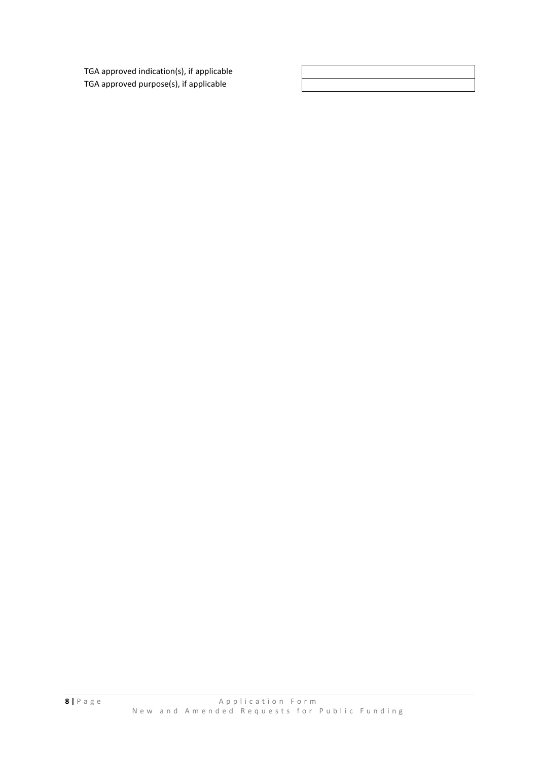TGA approved indication(s), if applicable TGA approved purpose(s), if applicable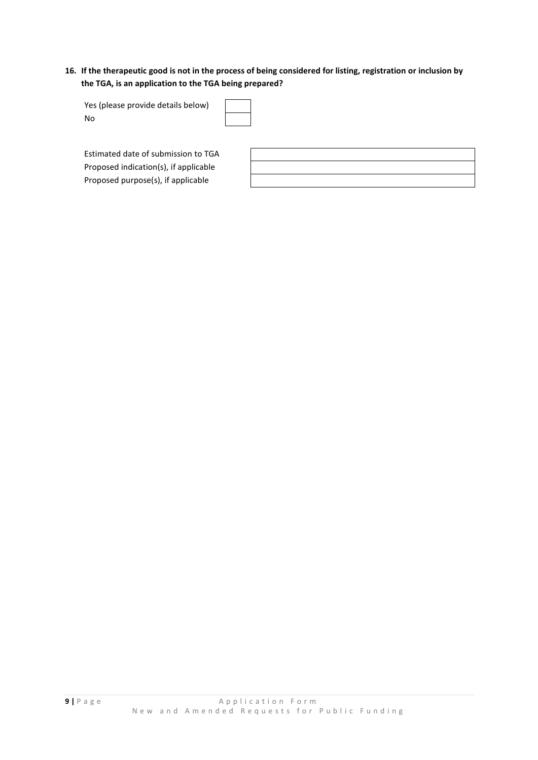## **16. If the therapeutic good is not in the process of being considered for listing, registration or inclusion by the TGA, is an application to the TGA being prepared?**

| Yes (please provide details below)  |  |
|-------------------------------------|--|
| No                                  |  |
|                                     |  |
|                                     |  |
| Estimated date of submission to TGA |  |

Proposed indication(s), if applicable Proposed purpose(s), if applicable

**9** | Page Application Form New and Amended Requests for Public Funding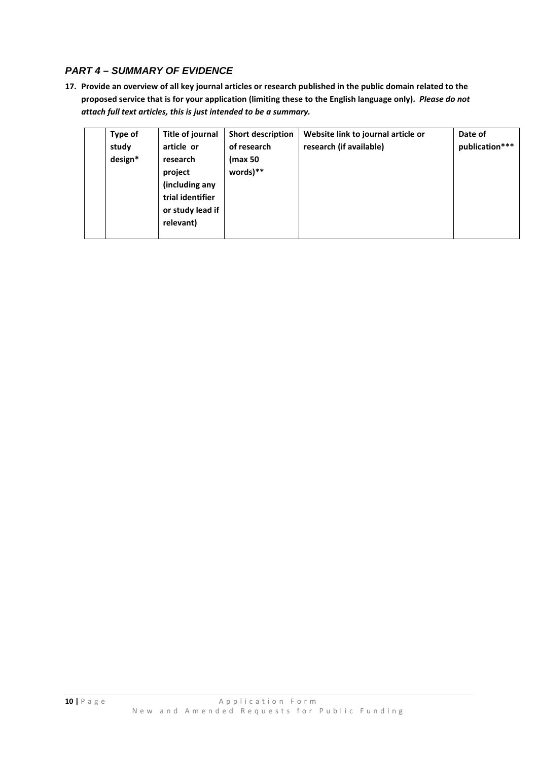# *PART 4 – SUMMARY OF EVIDENCE*

**17. Provide an overview of all key journal articles or research published in the public domain related to the proposed service that is for your application (limiting these to the English language only).** *Please do not attach full text articles, this is just intended to be a summary.*

| Type of<br>study<br>design* | Title of journal<br>article or<br>research<br>project<br>(including any | <b>Short description</b><br>of research<br>(max 50<br>words)** | Website link to journal article or<br>research (if available) | Date of<br>publication*** |
|-----------------------------|-------------------------------------------------------------------------|----------------------------------------------------------------|---------------------------------------------------------------|---------------------------|
|                             | trial identifier<br>or study lead if<br>relevant)                       |                                                                |                                                               |                           |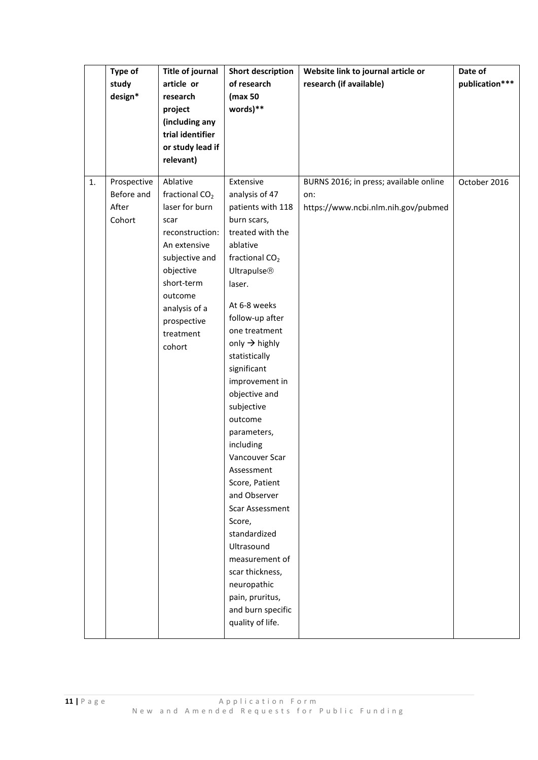|    | Type of     | <b>Title of journal</b>    | <b>Short description</b>   | Website link to journal article or     | Date of        |
|----|-------------|----------------------------|----------------------------|----------------------------------------|----------------|
|    | study       | article or                 | of research                | research (if available)                | publication*** |
|    | design*     | research                   | (max 50                    |                                        |                |
|    |             | project                    | words)**                   |                                        |                |
|    |             | (including any             |                            |                                        |                |
|    |             | trial identifier           |                            |                                        |                |
|    |             | or study lead if           |                            |                                        |                |
|    |             | relevant)                  |                            |                                        |                |
|    |             |                            |                            |                                        |                |
| 1. | Prospective | Ablative                   | Extensive                  | BURNS 2016; in press; available online | October 2016   |
|    | Before and  | fractional CO <sub>2</sub> | analysis of 47             | on:                                    |                |
|    | After       | laser for burn             | patients with 118          | https://www.ncbi.nlm.nih.gov/pubmed    |                |
|    | Cohort      | scar                       | burn scars,                |                                        |                |
|    |             | reconstruction:            | treated with the           |                                        |                |
|    |             | An extensive               | ablative                   |                                        |                |
|    |             | subjective and             | fractional CO <sub>2</sub> |                                        |                |
|    |             | objective                  | <b>Ultrapulse®</b>         |                                        |                |
|    |             | short-term                 | laser.                     |                                        |                |
|    |             | outcome                    |                            |                                        |                |
|    |             | analysis of a              | At 6-8 weeks               |                                        |                |
|    |             | prospective                | follow-up after            |                                        |                |
|    |             | treatment                  | one treatment              |                                        |                |
|    |             | cohort                     | only $\rightarrow$ highly  |                                        |                |
|    |             |                            | statistically              |                                        |                |
|    |             |                            | significant                |                                        |                |
|    |             |                            | improvement in             |                                        |                |
|    |             |                            | objective and              |                                        |                |
|    |             |                            | subjective                 |                                        |                |
|    |             |                            | outcome                    |                                        |                |
|    |             |                            | parameters,                |                                        |                |
|    |             |                            | including                  |                                        |                |
|    |             |                            | Vancouver Scar             |                                        |                |
|    |             |                            | Assessment                 |                                        |                |
|    |             |                            | Score, Patient             |                                        |                |
|    |             |                            | and Observer               |                                        |                |
|    |             |                            | Scar Assessment            |                                        |                |
|    |             |                            | Score,                     |                                        |                |
|    |             |                            | standardized               |                                        |                |
|    |             |                            | Ultrasound                 |                                        |                |
|    |             |                            | measurement of             |                                        |                |
|    |             |                            | scar thickness,            |                                        |                |
|    |             |                            | neuropathic                |                                        |                |
|    |             |                            | pain, pruritus,            |                                        |                |
|    |             |                            | and burn specific          |                                        |                |
|    |             |                            | quality of life.           |                                        |                |
|    |             |                            |                            |                                        |                |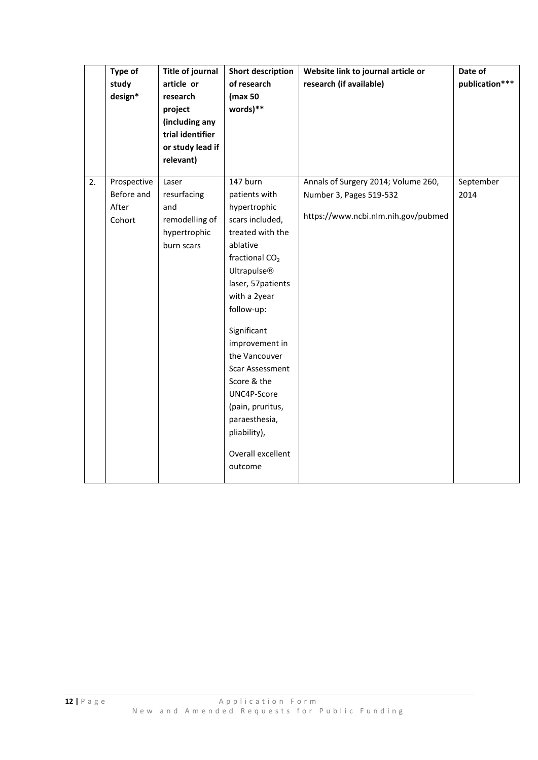| Type of<br>study<br>design*                        | <b>Title of journal</b><br>article or<br>research<br>project<br>(including any<br>trial identifier<br>or study lead if<br>relevant) | <b>Short description</b><br>of research<br>(max 50<br>words)**                                                                                                                                                                                                                                                                                                                                     | Website link to journal article or<br>research (if available)                                         | Date of<br>publication*** |
|----------------------------------------------------|-------------------------------------------------------------------------------------------------------------------------------------|----------------------------------------------------------------------------------------------------------------------------------------------------------------------------------------------------------------------------------------------------------------------------------------------------------------------------------------------------------------------------------------------------|-------------------------------------------------------------------------------------------------------|---------------------------|
| 2.<br>Prospective<br>Before and<br>After<br>Cohort | Laser<br>resurfacing<br>and<br>remodelling of<br>hypertrophic<br>burn scars                                                         | 147 burn<br>patients with<br>hypertrophic<br>scars included,<br>treated with the<br>ablative<br>fractional CO <sub>2</sub><br><b>Ultrapulse®</b><br>laser, 57patients<br>with a 2year<br>follow-up:<br>Significant<br>improvement in<br>the Vancouver<br><b>Scar Assessment</b><br>Score & the<br>UNC4P-Score<br>(pain, pruritus,<br>paraesthesia,<br>pliability),<br>Overall excellent<br>outcome | Annals of Surgery 2014; Volume 260,<br>Number 3, Pages 519-532<br>https://www.ncbi.nlm.nih.gov/pubmed | September<br>2014         |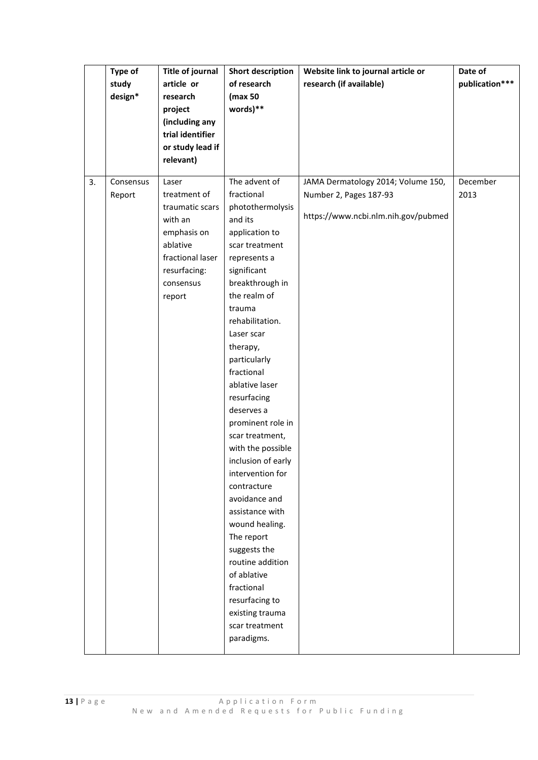|    | Type of   | <b>Title of journal</b> | <b>Short description</b> | Website link to journal article or  | Date of        |
|----|-----------|-------------------------|--------------------------|-------------------------------------|----------------|
|    | study     | article or              | of research              | research (if available)             | publication*** |
|    | design*   | research                | (max 50                  |                                     |                |
|    |           | project                 | words)**                 |                                     |                |
|    |           | (including any          |                          |                                     |                |
|    |           | trial identifier        |                          |                                     |                |
|    |           | or study lead if        |                          |                                     |                |
|    |           | relevant)               |                          |                                     |                |
|    |           |                         |                          |                                     |                |
| 3. | Consensus | Laser                   | The advent of            | JAMA Dermatology 2014; Volume 150,  | December       |
|    | Report    | treatment of            | fractional               | Number 2, Pages 187-93              | 2013           |
|    |           | traumatic scars         | photothermolysis         |                                     |                |
|    |           | with an                 | and its                  | https://www.ncbi.nlm.nih.gov/pubmed |                |
|    |           | emphasis on             | application to           |                                     |                |
|    |           | ablative                | scar treatment           |                                     |                |
|    |           | fractional laser        | represents a             |                                     |                |
|    |           | resurfacing:            | significant              |                                     |                |
|    |           | consensus               | breakthrough in          |                                     |                |
|    |           | report                  | the realm of             |                                     |                |
|    |           |                         | trauma                   |                                     |                |
|    |           |                         | rehabilitation.          |                                     |                |
|    |           |                         | Laser scar               |                                     |                |
|    |           |                         | therapy,                 |                                     |                |
|    |           |                         | particularly             |                                     |                |
|    |           |                         | fractional               |                                     |                |
|    |           |                         | ablative laser           |                                     |                |
|    |           |                         | resurfacing              |                                     |                |
|    |           |                         | deserves a               |                                     |                |
|    |           |                         | prominent role in        |                                     |                |
|    |           |                         | scar treatment,          |                                     |                |
|    |           |                         | with the possible        |                                     |                |
|    |           |                         | inclusion of early       |                                     |                |
|    |           |                         | intervention for         |                                     |                |
|    |           |                         | contracture              |                                     |                |
|    |           |                         | avoidance and            |                                     |                |
|    |           |                         | assistance with          |                                     |                |
|    |           |                         | wound healing.           |                                     |                |
|    |           |                         | The report               |                                     |                |
|    |           |                         | suggests the             |                                     |                |
|    |           |                         | routine addition         |                                     |                |
|    |           |                         | of ablative              |                                     |                |
|    |           |                         | fractional               |                                     |                |
|    |           |                         | resurfacing to           |                                     |                |
|    |           |                         | existing trauma          |                                     |                |
|    |           |                         | scar treatment           |                                     |                |
|    |           |                         | paradigms.               |                                     |                |
|    |           |                         |                          |                                     |                |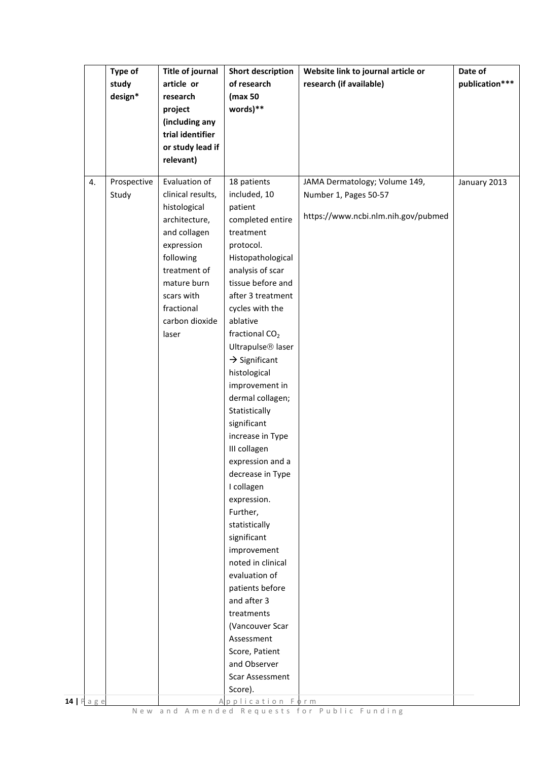|           | Type of     | <b>Title of journal</b> | <b>Short description</b>           | Website link to journal article or  | Date of        |
|-----------|-------------|-------------------------|------------------------------------|-------------------------------------|----------------|
|           | study       | article or              | of research                        | research (if available)             | publication*** |
|           | design*     | research                | (max 50                            |                                     |                |
|           |             | project                 | words)**                           |                                     |                |
|           |             | (including any          |                                    |                                     |                |
|           |             | trial identifier        |                                    |                                     |                |
|           |             | or study lead if        |                                    |                                     |                |
|           |             | relevant)               |                                    |                                     |                |
| 4.        | Prospective | Evaluation of           | 18 patients                        | JAMA Dermatology; Volume 149,       | January 2013   |
|           | Study       | clinical results,       | included, 10                       | Number 1, Pages 50-57               |                |
|           |             | histological            | patient                            |                                     |                |
|           |             | architecture,           | completed entire                   | https://www.ncbi.nlm.nih.gov/pubmed |                |
|           |             | and collagen            | treatment                          |                                     |                |
|           |             | expression              | protocol.                          |                                     |                |
|           |             | following               | Histopathological                  |                                     |                |
|           |             | treatment of            | analysis of scar                   |                                     |                |
|           |             | mature burn             | tissue before and                  |                                     |                |
|           |             | scars with              | after 3 treatment                  |                                     |                |
|           |             | fractional              | cycles with the                    |                                     |                |
|           |             | carbon dioxide          | ablative                           |                                     |                |
|           |             | laser                   | fractional CO <sub>2</sub>         |                                     |                |
|           |             |                         | Ultrapulse <sup>®</sup> laser      |                                     |                |
|           |             |                         | $\rightarrow$ Significant          |                                     |                |
|           |             |                         | histological                       |                                     |                |
|           |             |                         | improvement in                     |                                     |                |
|           |             |                         | dermal collagen;                   |                                     |                |
|           |             |                         | Statistically                      |                                     |                |
|           |             |                         | significant                        |                                     |                |
|           |             |                         | increase in Type                   |                                     |                |
|           |             |                         | III collagen                       |                                     |                |
|           |             |                         | expression and a                   |                                     |                |
|           |             |                         | decrease in Type                   |                                     |                |
|           |             |                         | I collagen                         |                                     |                |
|           |             |                         | expression.                        |                                     |                |
|           |             |                         | Further,                           |                                     |                |
|           |             |                         | statistically                      |                                     |                |
|           |             |                         | significant                        |                                     |                |
|           |             |                         | improvement                        |                                     |                |
|           |             |                         | noted in clinical<br>evaluation of |                                     |                |
|           |             |                         |                                    |                                     |                |
|           |             |                         | patients before                    |                                     |                |
|           |             |                         | and after 3<br>treatments          |                                     |                |
|           |             |                         | (Vancouver Scar                    |                                     |                |
|           |             |                         | Assessment                         |                                     |                |
|           |             |                         | Score, Patient                     |                                     |                |
|           |             |                         | and Observer                       |                                     |                |
|           |             |                         | Scar Assessment                    |                                     |                |
|           |             |                         | Score).                            |                                     |                |
| 14   Page |             |                         | Application Form                   |                                     |                |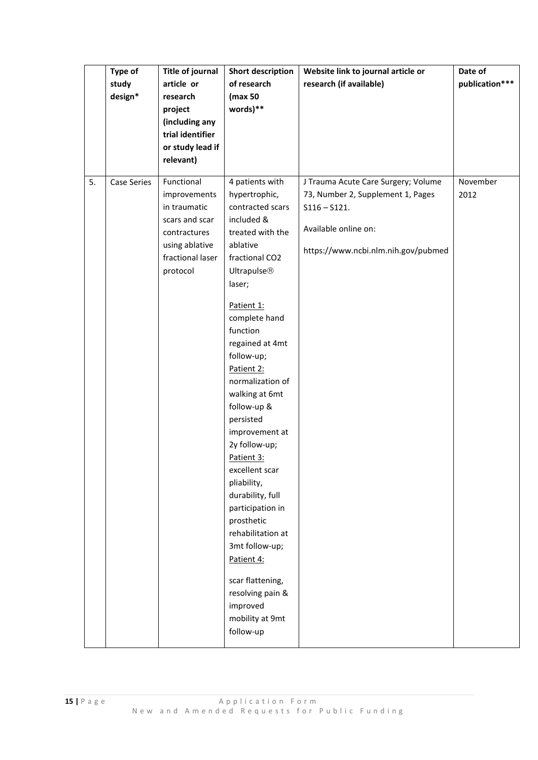|    | Type of<br><b>Title of journal</b> |                  | Short description  | Website link to journal article or  | Date of        |
|----|------------------------------------|------------------|--------------------|-------------------------------------|----------------|
|    | study                              | article or       | of research        | research (if available)             | publication*** |
|    | design*                            | research         | (max 50            |                                     |                |
|    |                                    | project          | words)**           |                                     |                |
|    |                                    | (including any   |                    |                                     |                |
|    |                                    | trial identifier |                    |                                     |                |
|    |                                    | or study lead if |                    |                                     |                |
|    |                                    | relevant)        |                    |                                     |                |
|    |                                    |                  |                    |                                     |                |
| 5. | <b>Case Series</b>                 | Functional       | 4 patients with    | J Trauma Acute Care Surgery; Volume | November       |
|    |                                    | improvements     | hypertrophic,      | 73, Number 2, Supplement 1, Pages   | 2012           |
|    |                                    | in traumatic     | contracted scars   | $S116 - S121.$                      |                |
|    |                                    | scars and scar   | included &         |                                     |                |
|    |                                    | contractures     | treated with the   | Available online on:                |                |
|    |                                    | using ablative   | ablative           |                                     |                |
|    |                                    | fractional laser | fractional CO2     | https://www.ncbi.nlm.nih.gov/pubmed |                |
|    |                                    | protocol         | <b>Ultrapulse®</b> |                                     |                |
|    |                                    |                  | laser;             |                                     |                |
|    |                                    |                  |                    |                                     |                |
|    |                                    |                  | Patient 1:         |                                     |                |
|    |                                    |                  | complete hand      |                                     |                |
|    |                                    |                  | function           |                                     |                |
|    |                                    |                  | regained at 4mt    |                                     |                |
|    |                                    |                  | follow-up;         |                                     |                |
|    |                                    |                  | Patient 2:         |                                     |                |
|    |                                    |                  | normalization of   |                                     |                |
|    |                                    |                  | walking at 6mt     |                                     |                |
|    |                                    |                  | follow-up &        |                                     |                |
|    |                                    |                  | persisted          |                                     |                |
|    |                                    |                  | improvement at     |                                     |                |
|    |                                    |                  | 2y follow-up;      |                                     |                |
|    |                                    |                  | Patient 3:         |                                     |                |
|    |                                    |                  | excellent scar     |                                     |                |
|    |                                    |                  | pliability,        |                                     |                |
|    |                                    |                  | durability, full   |                                     |                |
|    |                                    |                  | participation in   |                                     |                |
|    |                                    |                  | prosthetic         |                                     |                |
|    |                                    |                  | rehabilitation at  |                                     |                |
|    |                                    |                  | 3mt follow-up;     |                                     |                |
|    |                                    |                  | Patient 4:         |                                     |                |
|    |                                    |                  |                    |                                     |                |
|    |                                    |                  | scar flattening,   |                                     |                |
|    |                                    |                  | resolving pain &   |                                     |                |
|    |                                    |                  | improved           |                                     |                |
|    |                                    |                  | mobility at 9mt    |                                     |                |
|    |                                    |                  | follow-up          |                                     |                |
|    |                                    |                  |                    |                                     |                |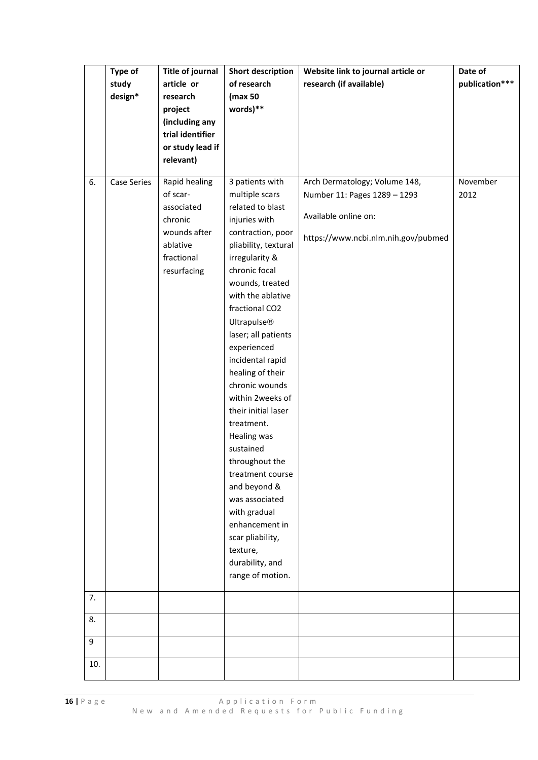|     | Type of            | <b>Title of journal</b> | <b>Short description</b> | Website link to journal article or  | Date of        |
|-----|--------------------|-------------------------|--------------------------|-------------------------------------|----------------|
|     | study              | article or              | of research              | research (if available)             | publication*** |
|     | design*            | research                | (max 50                  |                                     |                |
|     |                    | project                 | words)**                 |                                     |                |
|     |                    | (including any          |                          |                                     |                |
|     |                    | trial identifier        |                          |                                     |                |
|     |                    | or study lead if        |                          |                                     |                |
|     |                    | relevant)               |                          |                                     |                |
|     |                    |                         |                          |                                     |                |
| 6.  | <b>Case Series</b> | Rapid healing           | 3 patients with          | Arch Dermatology; Volume 148,       | November       |
|     |                    | of scar-                | multiple scars           | Number 11: Pages 1289 - 1293        | 2012           |
|     |                    | associated              | related to blast         |                                     |                |
|     |                    | chronic                 | injuries with            | Available online on:                |                |
|     |                    | wounds after            | contraction, poor        | https://www.ncbi.nlm.nih.gov/pubmed |                |
|     |                    | ablative                | pliability, textural     |                                     |                |
|     |                    | fractional              | irregularity &           |                                     |                |
|     |                    | resurfacing             | chronic focal            |                                     |                |
|     |                    |                         | wounds, treated          |                                     |                |
|     |                    |                         | with the ablative        |                                     |                |
|     |                    |                         | fractional CO2           |                                     |                |
|     |                    |                         | <b>Ultrapulse®</b>       |                                     |                |
|     |                    |                         | laser; all patients      |                                     |                |
|     |                    |                         | experienced              |                                     |                |
|     |                    |                         | incidental rapid         |                                     |                |
|     |                    |                         | healing of their         |                                     |                |
|     |                    |                         | chronic wounds           |                                     |                |
|     |                    |                         | within 2weeks of         |                                     |                |
|     |                    |                         | their initial laser      |                                     |                |
|     |                    |                         | treatment.               |                                     |                |
|     |                    |                         | Healing was              |                                     |                |
|     |                    |                         | sustained                |                                     |                |
|     |                    |                         | throughout the           |                                     |                |
|     |                    |                         | treatment course         |                                     |                |
|     |                    |                         | and beyond &             |                                     |                |
|     |                    |                         | was associated           |                                     |                |
|     |                    |                         | with gradual             |                                     |                |
|     |                    |                         | enhancement in           |                                     |                |
|     |                    |                         | scar pliability,         |                                     |                |
|     |                    |                         | texture,                 |                                     |                |
|     |                    |                         | durability, and          |                                     |                |
|     |                    |                         | range of motion.         |                                     |                |
| 7.  |                    |                         |                          |                                     |                |
| 8.  |                    |                         |                          |                                     |                |
|     |                    |                         |                          |                                     |                |
| 9   |                    |                         |                          |                                     |                |
| 10. |                    |                         |                          |                                     |                |
|     |                    |                         |                          |                                     |                |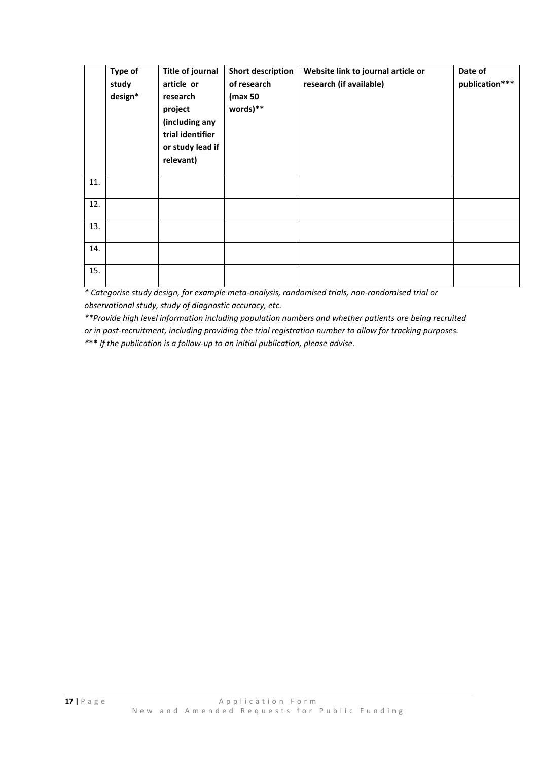|     | Type of<br>study<br>design* | <b>Title of journal</b><br>article or<br>research<br>project<br>(including any<br>trial identifier<br>or study lead if<br>relevant) | <b>Short description</b><br>of research<br>(max 50<br>words)** | Website link to journal article or<br>research (if available) | Date of<br>publication*** |
|-----|-----------------------------|-------------------------------------------------------------------------------------------------------------------------------------|----------------------------------------------------------------|---------------------------------------------------------------|---------------------------|
| 11. |                             |                                                                                                                                     |                                                                |                                                               |                           |
| 12. |                             |                                                                                                                                     |                                                                |                                                               |                           |
| 13. |                             |                                                                                                                                     |                                                                |                                                               |                           |
| 14. |                             |                                                                                                                                     |                                                                |                                                               |                           |
| 15. |                             |                                                                                                                                     |                                                                |                                                               |                           |

*\* Categorise study design, for example meta-analysis, randomised trials, non-randomised trial or observational study, study of diagnostic accuracy, etc.* 

*\*\*Provide high level information including population numbers and whether patients are being recruited or in post-recruitment, including providing the trial registration number to allow for tracking purposes.*

*\**\*\* *If the publication is a follow-up to an initial publication, please advise.*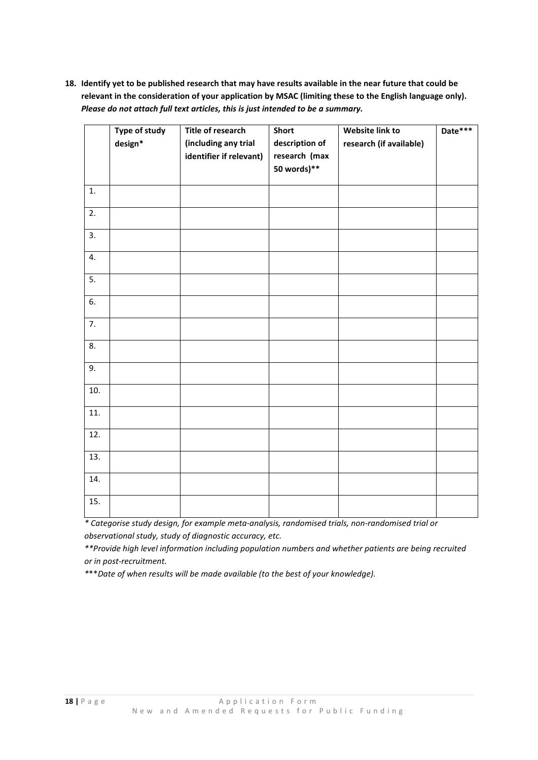**18. Identify yet to be published research that may have results available in the near future that could be relevant in the consideration of your application by MSAC (limiting these to the English language only).** *Please do not attach full text articles, this is just intended to be a summary.*

|     | Type of study<br>design* | <b>Title of research</b><br>(including any trial<br>identifier if relevant) | <b>Short</b><br>description of<br>research (max<br>50 words)** | Website link to<br>research (if available) | Date*** |
|-----|--------------------------|-----------------------------------------------------------------------------|----------------------------------------------------------------|--------------------------------------------|---------|
| 1.  |                          |                                                                             |                                                                |                                            |         |
| 2.  |                          |                                                                             |                                                                |                                            |         |
| 3.  |                          |                                                                             |                                                                |                                            |         |
| 4.  |                          |                                                                             |                                                                |                                            |         |
| 5.  |                          |                                                                             |                                                                |                                            |         |
| 6.  |                          |                                                                             |                                                                |                                            |         |
| 7.  |                          |                                                                             |                                                                |                                            |         |
| 8.  |                          |                                                                             |                                                                |                                            |         |
| 9.  |                          |                                                                             |                                                                |                                            |         |
| 10. |                          |                                                                             |                                                                |                                            |         |
| 11. |                          |                                                                             |                                                                |                                            |         |
| 12. |                          |                                                                             |                                                                |                                            |         |
| 13. |                          |                                                                             |                                                                |                                            |         |
| 14. |                          |                                                                             |                                                                |                                            |         |
| 15. |                          |                                                                             |                                                                |                                            |         |

*\* Categorise study design, for example meta-analysis, randomised trials, non-randomised trial or observational study, study of diagnostic accuracy, etc.* 

*\*\*Provide high level information including population numbers and whether patients are being recruited or in post-recruitment.*

*\**\*\**Date of when results will be made available (to the best of your knowledge).*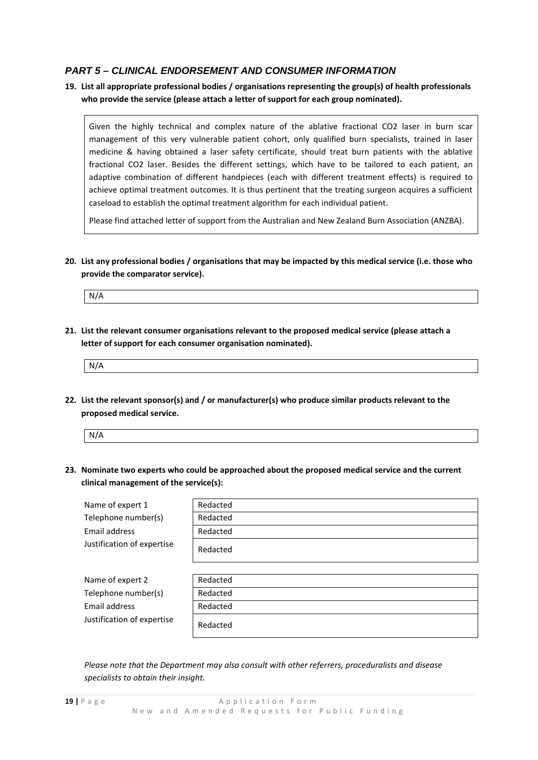## *PART 5 – CLINICAL ENDORSEMENT AND CONSUMER INFORMATION*

## **19. List all appropriate professional bodies / organisations representing the group(s) of health professionals who provide the service (please attach a letter of support for each group nominated).**

Given the highly technical and complex nature of the ablative fractional CO2 laser in burn scar management of this very vulnerable patient cohort, only qualified burn specialists, trained in laser medicine & having obtained a laser safety certificate, should treat burn patients with the ablative fractional CO2 laser. Besides the different settings, which have to be tailored to each patient, an adaptive combination of different handpieces (each with different treatment effects) is required to achieve optimal treatment outcomes. It is thus pertinent that the treating surgeon acquires a sufficient caseload to establish the optimal treatment algorithm for each individual patient.

Please find attached letter of support from the Australian and New Zealand Burn Association (ANZBA).

**20. List any professional bodies / organisations that may be impacted by this medical service (i.e. those who provide the comparator service).**

N/A

**21. List the relevant consumer organisations relevant to the proposed medical service (please attach a letter of support for each consumer organisation nominated).**

| N/4 |  |  |  |
|-----|--|--|--|
|     |  |  |  |

**22. List the relevant sponsor(s) and / or manufacturer(s) who produce similar products relevant to the proposed medical service.**

| N/A |  |  |
|-----|--|--|
|     |  |  |

**23. Nominate two experts who could be approached about the proposed medical service and the current clinical management of the service(s):**

| Name of expert 1           | Redacted |
|----------------------------|----------|
| Telephone number(s)        | Redacted |
| Email address              | Redacted |
| Justification of expertise | Redacted |
|                            |          |
| Name of expert 2           | Redacted |
| Telephone number(s)        | Redacted |
| Email address              | Redacted |
| Justification of expertise | Redacted |

*Please note that the Department may also consult with other referrers, proceduralists and disease specialists to obtain their insight.*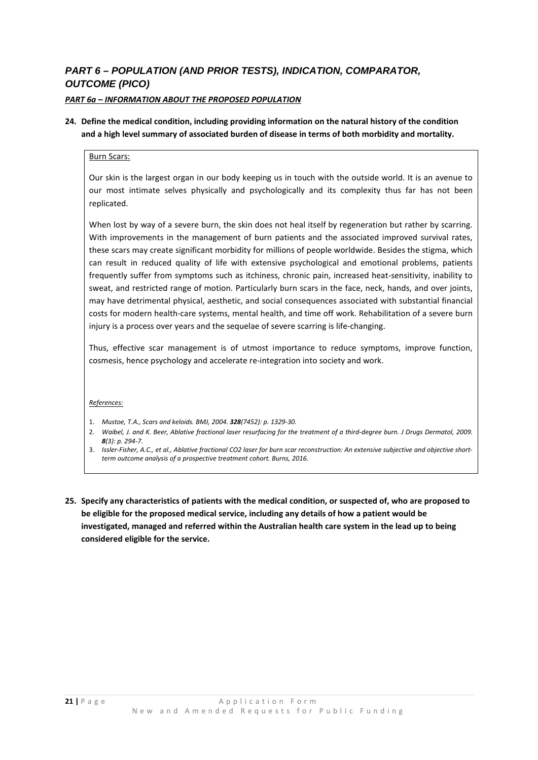# *PART 6 – POPULATION (AND PRIOR TESTS), INDICATION, COMPARATOR, OUTCOME (PICO)*

## *PART 6a – INFORMATION ABOUT THE PROPOSED POPULATION*

## **24. Define the medical condition, including providing information on the natural history of the condition and a high level summary of associated burden of disease in terms of both morbidity and mortality.**

#### Burn Scars:

Our skin is the largest organ in our body keeping us in touch with the outside world. It is an avenue to our most intimate selves physically and psychologically and its complexity thus far has not been replicated.

When lost by way of a severe burn, the skin does not heal itself by regeneration but rather by scarring. With improvements in the management of burn patients and the associated improved survival rates, these scars may create significant morbidity for millions of people worldwide. Besides the stigma, which can result in reduced quality of life with extensive psychological and emotional problems, patients frequently suffer from symptoms such as itchiness, chronic pain, increased heat-sensitivity, inability to sweat, and restricted range of motion. Particularly burn scars in the face, neck, hands, and over joints, may have detrimental physical, aesthetic, and social consequences associated with substantial financial costs for modern health-care systems, mental health, and time off work. Rehabilitation of a severe burn injury is a process over years and the sequelae of severe scarring is life-changing.

Thus, effective scar management is of utmost importance to reduce symptoms, improve function, cosmesis, hence psychology and accelerate re-integration into society and work.

#### *References:*

- 1. *Mustoe, T.A., Scars and keloids. BMJ, 2004. 328(7452): p. 1329-30.*
- 2. *Waibel, J. and K. Beer, Ablative fractional laser resurfacing for the treatment of a third-degree burn. J Drugs Dermatol, 2009. 8(3): p. 294-7.*
- 3. *Issler-Fisher, A.C., et al., Ablative fractional CO2 laser for burn scar reconstruction: An extensive subjective and objective shortterm outcome analysis of a prospective treatment cohort. Burns, 2016.*
- **25. Specify any characteristics of patients with the medical condition, or suspected of, who are proposed to be eligible for the proposed medical service, including any details of how a patient would be investigated, managed and referred within the Australian health care system in the lead up to being considered eligible for the service.**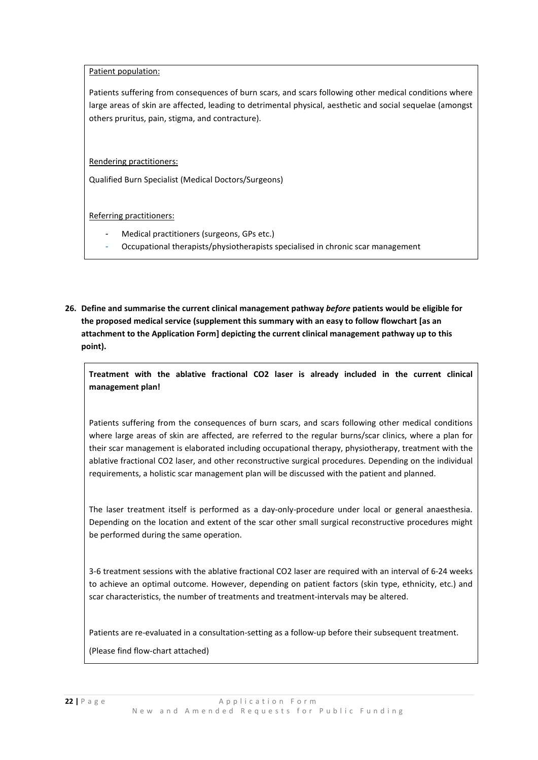Patient population:

Patients suffering from consequences of burn scars, and scars following other medical conditions where large areas of skin are affected, leading to detrimental physical, aesthetic and social sequelae (amongst others pruritus, pain, stigma, and contracture).

Rendering practitioners:

Qualified Burn Specialist (Medical Doctors/Surgeons)

Referring practitioners:

- Medical practitioners (surgeons, GPs etc.)
- Occupational therapists/physiotherapists specialised in chronic scar management
- **26. Define and summarise the current clinical management pathway** *before* **patients would be eligible for the proposed medical service (supplement this summary with an easy to follow flowchart [as an attachment to the Application Form] depicting the current clinical management pathway up to this point).**

**Treatment with the ablative fractional CO2 laser is already included in the current clinical management plan!**

Patients suffering from the consequences of burn scars, and scars following other medical conditions where large areas of skin are affected, are referred to the regular burns/scar clinics, where a plan for their scar management is elaborated including occupational therapy, physiotherapy, treatment with the ablative fractional CO2 laser, and other reconstructive surgical procedures. Depending on the individual requirements, a holistic scar management plan will be discussed with the patient and planned.

The laser treatment itself is performed as a day-only-procedure under local or general anaesthesia. Depending on the location and extent of the scar other small surgical reconstructive procedures might be performed during the same operation.

3-6 treatment sessions with the ablative fractional CO2 laser are required with an interval of 6-24 weeks to achieve an optimal outcome. However, depending on patient factors (skin type, ethnicity, etc.) and scar characteristics, the number of treatments and treatment-intervals may be altered.

Patients are re-evaluated in a consultation-setting as a follow-up before their subsequent treatment.

(Please find flow-chart attached)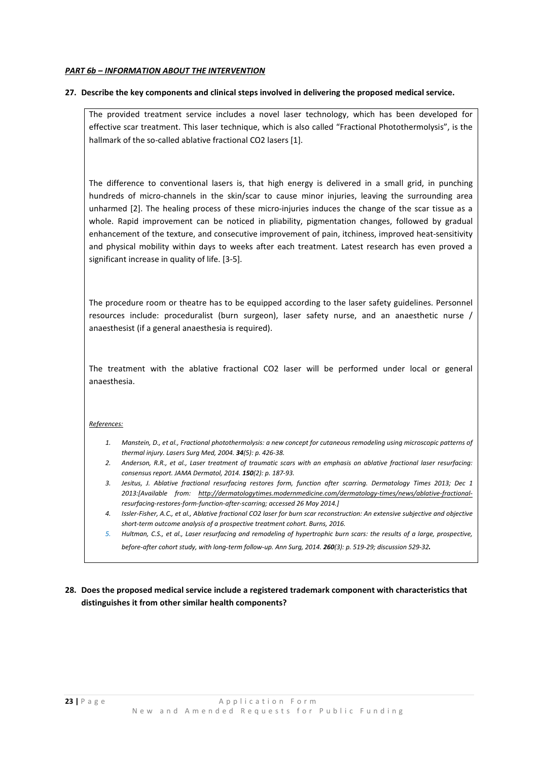#### *PART 6b – INFORMATION ABOUT THE INTERVENTION*

#### **27. Describe the key components and clinical steps involved in delivering the proposed medical service.**

The provided treatment service includes a novel laser technology, which has been developed for effective scar treatment. This laser technique, which is also called "Fractional Photothermolysis", is the hallmark of the so-called ablative fractional CO2 lasers [1].

The difference to conventional lasers is, that high energy is delivered in a small grid, in punching hundreds of micro-channels in the skin/scar to cause minor injuries, leaving the surrounding area unharmed [2]. The healing process of these micro-injuries induces the change of the scar tissue as a whole. Rapid improvement can be noticed in pliability, pigmentation changes, followed by gradual enhancement of the texture, and consecutive improvement of pain, itchiness, improved heat-sensitivity and physical mobility within days to weeks after each treatment. Latest research has even proved a significant increase in quality of life. [3-5].

The procedure room or theatre has to be equipped according to the laser safety guidelines. Personnel resources include: proceduralist (burn surgeon), laser safety nurse, and an anaesthetic nurse / anaesthesist (if a general anaesthesia is required).

The treatment with the ablative fractional CO2 laser will be performed under local or general anaesthesia.

#### *References:*

- *1. Manstein, D., et al., Fractional photothermolysis: a new concept for cutaneous remodeling using microscopic patterns of thermal injury. Lasers Surg Med, 2004. 34(5): p. 426-38.*
- *2. Anderson, R.R., et al., Laser treatment of traumatic scars with an emphasis on ablative fractional laser resurfacing: consensus report. JAMA Dermatol, 2014. 150(2): p. 187-93.*
- *3. Jesitus, J. Ablative fractional resurfacing restores form, function after scarring. Dermatology Times 2013; Dec 1 2013:[Available from: [http://dermatologytimes.modernmedicine.com/dermatology-times/news/ablative-fractional](http://dermatologytimes.modernmedicine.com/dermatology-times/news/ablative-fractional-)resurfacing-restores-form-function-after-scarring; accessed 26 May 2014.]*
- *4. Issler-Fisher, A.C., et al., Ablative fractional CO2 laser for burn scar reconstruction: An extensive subjective and objective short-term outcome analysis of a prospective treatment cohort. Burns, 2016.*
- *5. Hultman, C.S., et al., Laser resurfacing and remodeling of hypertrophic burn scars: the results of a large, prospective, before-after cohort study, with long-term follow-up. Ann Surg, 2014. 260(3): p. 519-29; discussion 529-32*.

## **28. Does the proposed medical service include a registered trademark component with characteristics that distinguishes it from other similar health components?**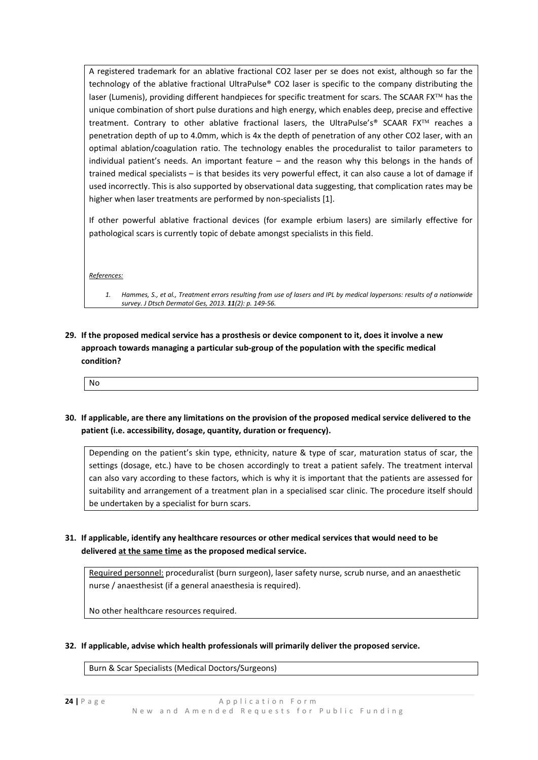A registered trademark for an ablative fractional CO2 laser per se does not exist, although so far the technology of the ablative fractional UltraPulse® CO2 laser is specific to the company distributing the laser (Lumenis), providing different handpieces for specific treatment for scars. The SCAAR FX<sup>™</sup> has the unique combination of short pulse durations and high energy, which enables deep, precise and effective treatment. Contrary to other ablative fractional lasers, the UltraPulse's® SCAAR FX<sup>TM</sup> reaches a penetration depth of up to 4.0mm, which is 4x the depth of penetration of any other CO2 laser, with an optimal ablation/coagulation ratio. The technology enables the proceduralist to tailor parameters to individual patient's needs. An important feature – and the reason why this belongs in the hands of trained medical specialists – is that besides its very powerful effect, it can also cause a lot of damage if used incorrectly. This is also supported by observational data suggesting, that complication rates may be higher when laser treatments are performed by non-specialists [1].

If other powerful ablative fractional devices (for example erbium lasers) are similarly effective for pathological scars is currently topic of debate amongst specialists in this field.

*References:*

- *1. Hammes, S., et al., Treatment errors resulting from use of lasers and IPL by medical laypersons: results of a nationwide survey. J Dtsch Dermatol Ges, 2013. 11(2): p. 149-56.*
- **29. If the proposed medical service has a prosthesis or device component to it, does it involve a new approach towards managing a particular sub-group of the population with the specific medical condition?**

No

**30. If applicable, are there any limitations on the provision of the proposed medical service delivered to the patient (i.e. accessibility, dosage, quantity, duration or frequency).**

Depending on the patient's skin type, ethnicity, nature & type of scar, maturation status of scar, the settings (dosage, etc.) have to be chosen accordingly to treat a patient safely. The treatment interval can also vary according to these factors, which is why it is important that the patients are assessed for suitability and arrangement of a treatment plan in a specialised scar clinic. The procedure itself should be undertaken by a specialist for burn scars.

**31. If applicable, identify any healthcare resources or other medical services that would need to be delivered at the same time as the proposed medical service.**

Required personnel: proceduralist (burn surgeon), laser safety nurse, scrub nurse, and an anaesthetic nurse / anaesthesist (if a general anaesthesia is required).

No other healthcare resources required.

**32. If applicable, advise which health professionals will primarily deliver the proposed service.**

Burn & Scar Specialists (Medical Doctors/Surgeons)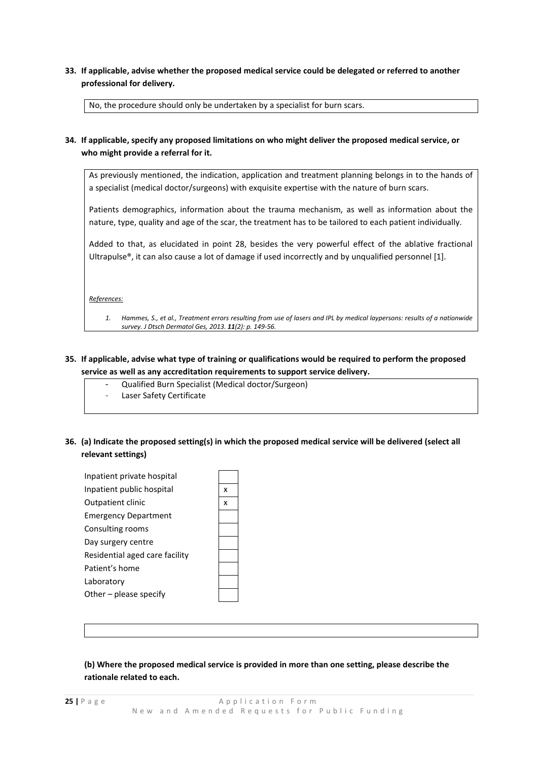**33. If applicable, advise whether the proposed medical service could be delegated or referred to another professional for delivery.**

No, the procedure should only be undertaken by a specialist for burn scars.

## **34. If applicable, specify any proposed limitations on who might deliver the proposed medical service, or who might provide a referral for it.**

As previously mentioned, the indication, application and treatment planning belongs in to the hands of a specialist (medical doctor/surgeons) with exquisite expertise with the nature of burn scars.

Patients demographics, information about the trauma mechanism, as well as information about the nature, type, quality and age of the scar, the treatment has to be tailored to each patient individually.

Added to that, as elucidated in point 28, besides the very powerful effect of the ablative fractional Ultrapulse®, it can also cause a lot of damage if used incorrectly and by unqualified personnel [1].

*References:*

*1. Hammes, S., et al., Treatment errors resulting from use of lasers and IPL by medical laypersons: results of a nationwide survey. J Dtsch Dermatol Ges, 2013. 11(2): p. 149-56.*

### **35. If applicable, advise what type of training or qualifications would be required to perform the proposed service as well as any accreditation requirements to support service delivery.**

- Qualified Burn Specialist (Medical doctor/Surgeon)
- Laser Safety Certificate
- **36. (a) Indicate the proposed setting(s) in which the proposed medical service will be delivered (select all relevant settings)**

| Inpatient private hospital     |   |
|--------------------------------|---|
| Inpatient public hospital      | x |
| <b>Outpatient clinic</b>       | x |
| <b>Emergency Department</b>    |   |
| Consulting rooms               |   |
| Day surgery centre             |   |
| Residential aged care facility |   |
| Patient's home                 |   |
| Laboratory                     |   |
| Other $-$ please specify       |   |
|                                |   |

## **(b) Where the proposed medical service is provided in more than one setting, please describe the rationale related to each.**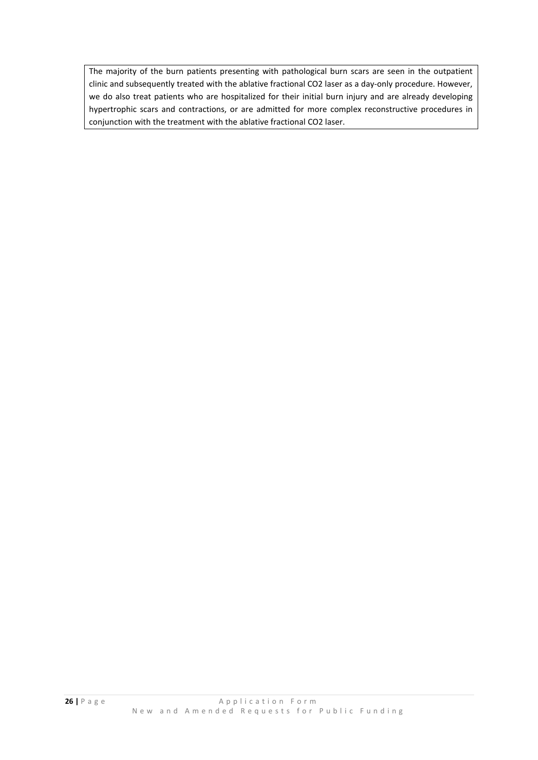The majority of the burn patients presenting with pathological burn scars are seen in the outpatient clinic and subsequently treated with the ablative fractional CO2 laser as a day-only procedure. However, we do also treat patients who are hospitalized for their initial burn injury and are already developing hypertrophic scars and contractions, or are admitted for more complex reconstructive procedures in conjunction with the treatment with the ablative fractional CO2 laser.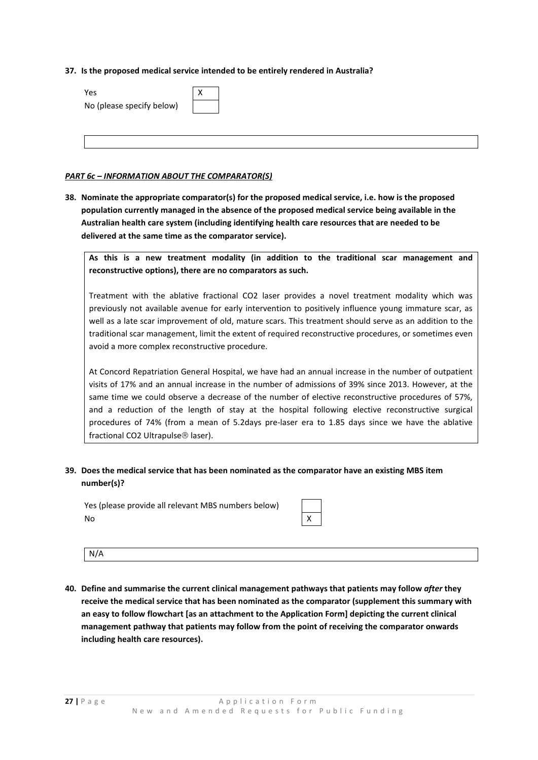#### **37. Is the proposed medical service intended to be entirely rendered in Australia?**

| Yes.                      |  |
|---------------------------|--|
| No (please specify below) |  |

#### *PART 6c – INFORMATION ABOUT THE COMPARATOR(S)*

**38. Nominate the appropriate comparator(s) for the proposed medical service, i.e. how is the proposed population currently managed in the absence of the proposed medical service being available in the Australian health care system (including identifying health care resources that are needed to be delivered at the same time as the comparator service).**

**As this is a new treatment modality (in addition to the traditional scar management and reconstructive options), there are no comparators as such.**

Treatment with the ablative fractional CO2 laser provides a novel treatment modality which was previously not available avenue for early intervention to positively influence young immature scar, as well as a late scar improvement of old, mature scars. This treatment should serve as an addition to the traditional scar management, limit the extent of required reconstructive procedures, or sometimes even avoid a more complex reconstructive procedure.

At Concord Repatriation General Hospital, we have had an annual increase in the number of outpatient visits of 17% and an annual increase in the number of admissions of 39% since 2013. However, at the same time we could observe a decrease of the number of elective reconstructive procedures of 57%, and a reduction of the length of stay at the hospital following elective reconstructive surgical procedures of 74% (from a mean of 5.2days pre-laser era to 1.85 days since we have the ablative fractional CO2 Ultrapulse<sup>®</sup> laser).

## **39. Does the medical service that has been nominated as the comparator have an existing MBS item number(s)?**

Yes (please provide all relevant MBS numbers below) No X

N/A

**40. Define and summarise the current clinical management pathways that patients may follow** *after* **they receive the medical service that has been nominated as the comparator (supplement this summary with an easy to follow flowchart [as an attachment to the Application Form] depicting the current clinical management pathway that patients may follow from the point of receiving the comparator onwards including health care resources).**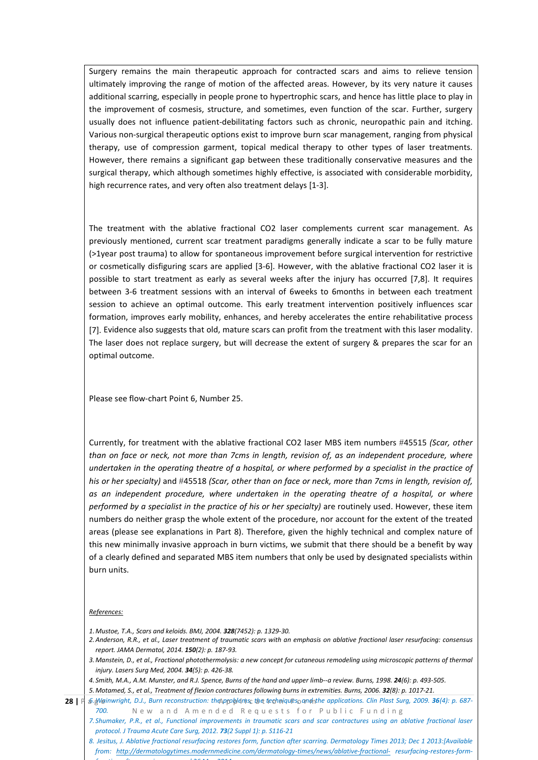Surgery remains the main therapeutic approach for contracted scars and aims to relieve tension ultimately improving the range of motion of the affected areas. However, by its very nature it causes additional scarring, especially in people prone to hypertrophic scars, and hence has little place to play in the improvement of cosmesis, structure, and sometimes, even function of the scar. Further, surgery usually does not influence patient-debilitating factors such as chronic, neuropathic pain and itching. Various non-surgical therapeutic options exist to improve burn scar management, ranging from physical therapy, use of compression garment, topical medical therapy to other types of laser treatments. However, there remains a significant gap between these traditionally conservative measures and the surgical therapy, which although sometimes highly effective, is associated with considerable morbidity, high recurrence rates, and very often also treatment delays [1-3].

The treatment with the ablative fractional CO2 laser complements current scar management. As previously mentioned, current scar treatment paradigms generally indicate a scar to be fully mature (>1year post trauma) to allow for spontaneous improvement before surgical intervention for restrictive or cosmetically disfiguring scars are applied [3-6]. However, with the ablative fractional CO2 laser it is possible to start treatment as early as several weeks after the injury has occurred [7,8]. It requires between 3-6 treatment sessions with an interval of 6weeks to 6months in between each treatment session to achieve an optimal outcome. This early treatment intervention positively influences scar formation, improves early mobility, enhances, and hereby accelerates the entire rehabilitative process [7]. Evidence also suggests that old, mature scars can profit from the treatment with this laser modality. The laser does not replace surgery, but will decrease the extent of surgery & prepares the scar for an optimal outcome.

Please see flow-chart Point 6, Number 25.

Currently, for treatment with the ablative fractional CO2 laser MBS item numbers #45515 *(Scar, other than on face or neck, not more than 7cms in length, revision of, as an independent procedure, where undertaken in the operating theatre of a hospital, or where performed by a specialist in the practice of his or her specialty)* and #45518 *(Scar, other than on face or neck, more than 7cms in length, revision of, as an independent procedure, where undertaken in the operating theatre of a hospital, or where performed by a specialist in the practice of his or her specialty)* are routinely used. However, these item numbers do neither grasp the whole extent of the procedure, nor account for the extent of the treated areas (please see explanations in Part 8). Therefore, given the highly technical and complex nature of this new minimally invasive approach in burn victims, we submit that there should be a benefit by way of a clearly defined and separated MBS item numbers that only be used by designated specialists within burn units.

#### *References:*

- *1.Mustoe, T.A., Scars and keloids. BMJ, 2004. 328(7452): p. 1329-30.*
- *2.Anderson, R.R., et al., Laser treatment of traumatic scars with an emphasis on ablative fractional laser resurfacing: consensus report. JAMA Dermatol, 2014. 150(2): p. 187-93.*
- *3.Manstein, D., et al., Fractional photothermolysis: a new concept for cutaneous remodeling using microscopic patterns of thermal injury. Lasers Surg Med, 2004. 34(5): p. 426-38.*
- *4. Smith, M.A., A.M. Munster, and R.J. Spence, Burns of the hand and upper limb--a review. Burns, 1998. 24(6): p. 493-505.*

*5.Motamed, S., et al., Treatment of flexion contractures following burns in extremities. Burns, 2006. 32(8): p. 1017-21.*

- $28$  | F| *ଈ§V@inwright, D.J., Burn reconstruction: theApppblems, the techniquespandnthe applications. Clin Plast Surg, 2009.*  $36$ *(4): p. 687-700.* New and Amended Requests for Public Funding
	- *7. Shumaker, P.R., et al., Functional improvements in traumatic scars and scar contractures using an ablative fractional laser protocol. J Trauma Acute Care Surg, 2012. 73(2 Suppl 1): p. S116-21*
	- *8. Jesitus, J. Ablative fractional resurfacing restores form, function after scarring. Dermatology Times 2013; Dec 1 2013:[Available from: <http://dermatologytimes.modernmedicine.com/dermatology-times/news/ablative-fractional-> resurfacing-restores-formf ti ft i d 26 M 2014*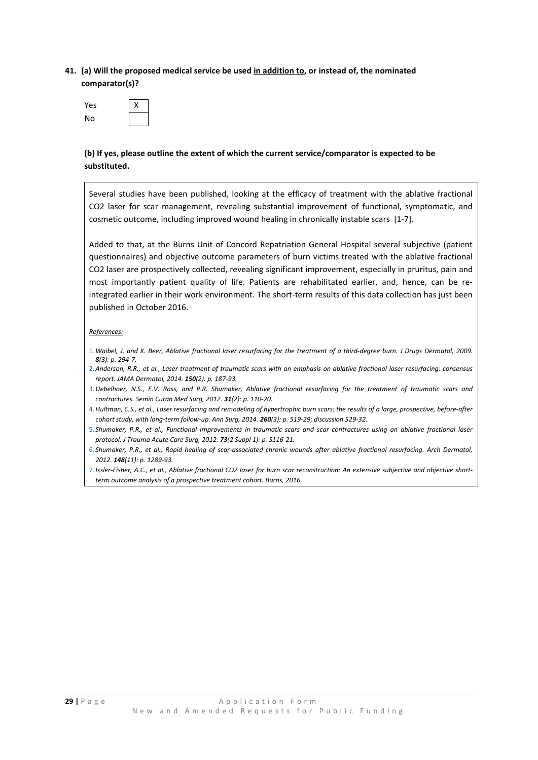## **41. (a) Will the proposed medical service be used in addition to, or instead of, the nominated comparator(s)?**

| Yes | x |
|-----|---|
| No  |   |

## **(b) If yes, please outline the extent of which the current service/comparator is expected to be substituted.**

Several studies have been published, looking at the efficacy of treatment with the ablative fractional CO2 laser for scar management, revealing substantial improvement of functional, symptomatic, and cosmetic outcome, including improved wound healing in chronically instable scars [1-7].

Added to that, at the Burns Unit of Concord Repatriation General Hospital several subjective (patient questionnaires) and objective outcome parameters of burn victims treated with the ablative fractional CO2 laser are prospectively collected, revealing significant improvement, especially in pruritus, pain and most importantly patient quality of life. Patients are rehabilitated earlier, and, hence, can be reintegrated earlier in their work environment. The short-term results of this data collection has just been published in October 2016.

#### *References:*

- 1.*Waibel, J. and K. Beer, Ablative fractional laser resurfacing for the treatment of a third-degree burn. J Drugs Dermatol, 2009. 8(3): p. 294-7.*
- 2.*Anderson, R.R., et al., Laser treatment of traumatic scars with an emphasis on ablative fractional laser resurfacing: consensus report. JAMA Dermatol, 2014. 150(2): p. 187-93.*
- 3.*Uebelhoer, N.S., E.V. Ross, and P.R. Shumaker, Ablative fractional resurfacing for the treatment of traumatic scars and contractures. Semin Cutan Med Surg, 2012. 31(2): p. 110-20.*
- 4.*Hultman, C.S., et al., Laser resurfacing and remodeling of hypertrophic burn scars: the results of a large, prospective, before-after cohort study, with long-term follow-up. Ann Surg, 2014. 260(3): p. 519-29; discussion 529-32.*
- 5. *Shumaker, P.R., et al., Functional improvements in traumatic scars and scar contractures using an ablative fractional laser protocol. J Trauma Acute Care Surg, 2012. 73(2 Suppl 1): p. S116-21.*
- 6. *Shumaker, P.R., et al., Rapid healing of scar-associated chronic wounds after ablative fractional resurfacing. Arch Dermatol, 2012. 148(11): p. 1289-93.*
- 7.*Issler-Fisher, A.C., et al., Ablative fractional CO2 laser for burn scar reconstruction: An extensive subjective and objective shortterm outcome analysis of a prospective treatment cohort. Burns, 2016.*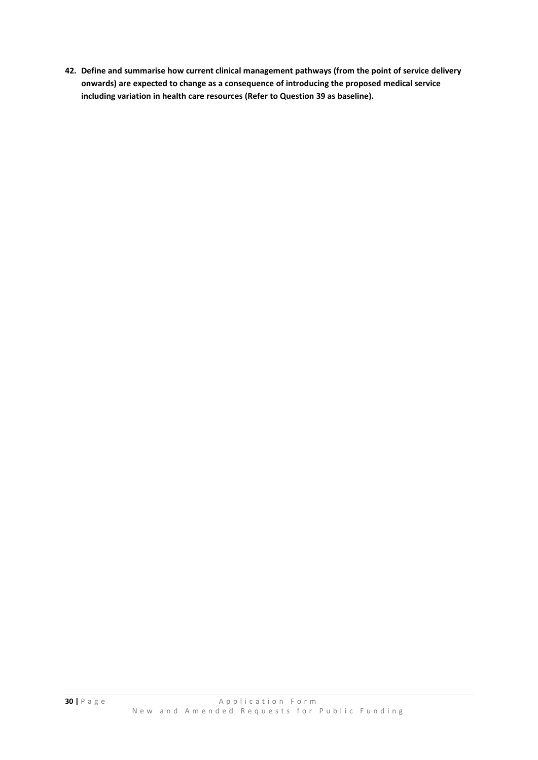**42. Define and summarise how current clinical management pathways (from the point of service delivery onwards) are expected to change as a consequence of introducing the proposed medical service including variation in health care resources (Refer to Question 39 as baseline).**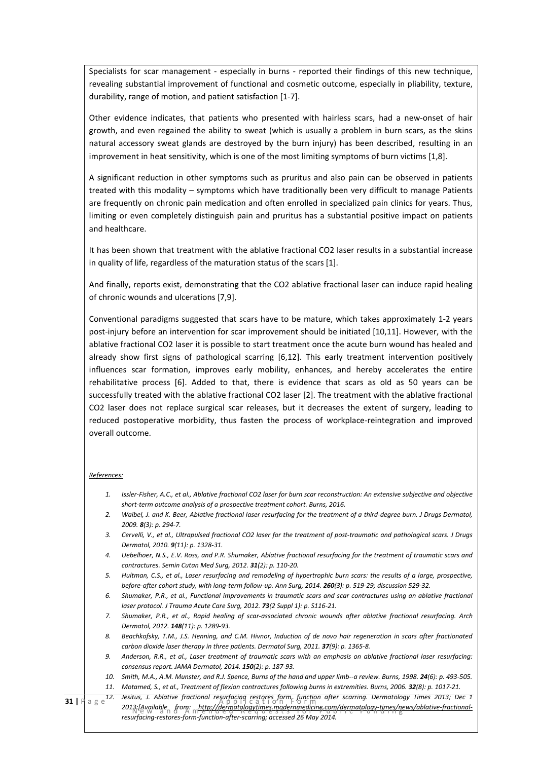Specialists for scar management - especially in burns - reported their findings of this new technique, revealing substantial improvement of functional and cosmetic outcome, especially in pliability, texture, durability, range of motion, and patient satisfaction [1-7].

Other evidence indicates, that patients who presented with hairless scars, had a new-onset of hair growth, and even regained the ability to sweat (which is usually a problem in burn scars, as the skins natural accessory sweat glands are destroyed by the burn injury) has been described, resulting in an improvement in heat sensitivity, which is one of the most limiting symptoms of burn victims [1,8].

A significant reduction in other symptoms such as pruritus and also pain can be observed in patients treated with this modality – symptoms which have traditionally been very difficult to manage Patients are frequently on chronic pain medication and often enrolled in specialized pain clinics for years. Thus, limiting or even completely distinguish pain and pruritus has a substantial positive impact on patients and healthcare.

It has been shown that treatment with the ablative fractional CO2 laser results in a substantial increase in quality of life, regardless of the maturation status of the scars [1].

And finally, reports exist, demonstrating that the CO2 ablative fractional laser can induce rapid healing of chronic wounds and ulcerations [7,9].

Conventional paradigms suggested that scars have to be mature, which takes approximately 1-2 years post-injury before an intervention for scar improvement should be initiated [10,11]. However, with the ablative fractional CO2 laser it is possible to start treatment once the acute burn wound has healed and already show first signs of pathological scarring [6,12]. This early treatment intervention positively influences scar formation, improves early mobility, enhances, and hereby accelerates the entire rehabilitative process [6]. Added to that, there is evidence that scars as old as 50 years can be successfully treated with the ablative fractional CO2 laser [2]. The treatment with the ablative fractional CO2 laser does not replace surgical scar releases, but it decreases the extent of surgery, leading to reduced postoperative morbidity, thus fasten the process of workplace-reintegration and improved overall outcome.

#### *References:*

- *1. Issler-Fisher, A.C., et al., Ablative fractional CO2 laser for burn scar reconstruction: An extensive subjective and objective short-term outcome analysis of a prospective treatment cohort. Burns, 2016.*
- *2. Waibel, J. and K. Beer, Ablative fractional laser resurfacing for the treatment of a third-degree burn. J Drugs Dermatol, 2009. 8(3): p. 294-7.*
- *3. Cervelli, V., et al., Ultrapulsed fractional CO2 laser for the treatment of post-traumatic and pathological scars. J Drugs Dermatol, 2010. 9(11): p. 1328-31.*
- *4. Uebelhoer, N.S., E.V. Ross, and P.R. Shumaker, Ablative fractional resurfacing for the treatment of traumatic scars and contractures. Semin Cutan Med Surg, 2012. 31(2): p. 110-20.*
- *5. Hultman, C.S., et al., Laser resurfacing and remodeling of hypertrophic burn scars: the results of a large, prospective, before-after cohort study, with long-term follow-up. Ann Surg, 2014. 260(3): p. 519-29; discussion 529-32.*
- *6. Shumaker, P.R., et al., Functional improvements in traumatic scars and scar contractures using an ablative fractional laser protocol. J Trauma Acute Care Surg, 2012. 73(2 Suppl 1): p. S116-21.*
- *7. Shumaker, P.R., et al., Rapid healing of scar-associated chronic wounds after ablative fractional resurfacing. Arch Dermatol, 2012. 148(11): p. 1289-93.*
- *8. Beachkofsky, T.M., J.S. Henning, and C.M. Hivnor, Induction of de novo hair regeneration in scars after fractionated carbon dioxide laser therapy in three patients. Dermatol Surg, 2011. 37(9): p. 1365-8.*
- *9. Anderson, R.R., et al., Laser treatment of traumatic scars with an emphasis on ablative fractional laser resurfacing: consensus report. JAMA Dermatol, 2014. 150(2): p. 187-93.*
- 10. *Smith, M.A., A.M. Munster, and R.J. Spence, Burns of the hand and upper limb--a review. Burns, 1998. 24(6): p. 493-505.*
- 11. Motamed, S., et al., Treatment of flexion contractures following burns in extremities. Burns, 2006. **32**(8): p. 1017-21.

**31** | **F** a g e<sup>12.</sup> Jesitus, J. Ablative fractional resurfacing restores form, function after scarring. Dermatology Times 2013; Dec 1 2013;[Available from: http://dermatologytimes.modernmedicine.com/dermatology-times/news/ablative-fractional-<br>Public Public Funding Public Funding Public Funding Public Funding Public Funding Public Funding Public Fundin *resurfacing-restores-form-function-after-scarring; accessed 26 May 2014.*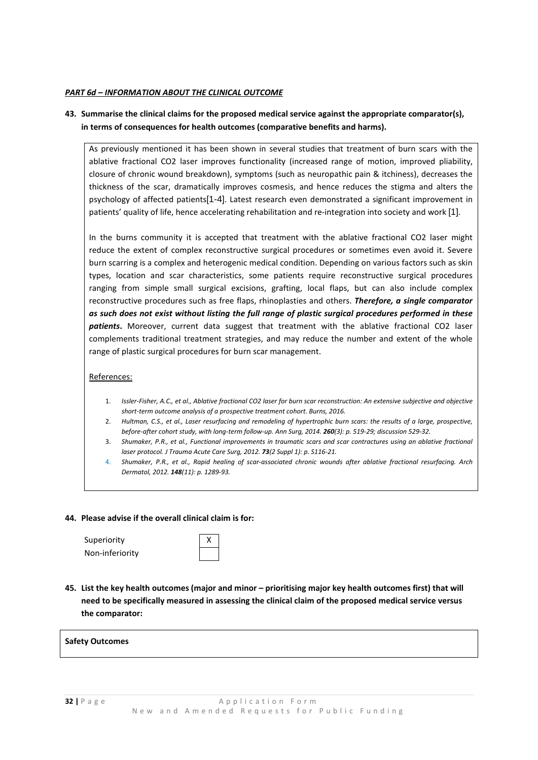#### *PART 6d – INFORMATION ABOUT THE CLINICAL OUTCOME*

## **43. Summarise the clinical claims for the proposed medical service against the appropriate comparator(s), in terms of consequences for health outcomes (comparative benefits and harms).**

As previously mentioned it has been shown in several studies that treatment of burn scars with the ablative fractional CO2 laser improves functionality (increased range of motion, improved pliability, closure of chronic wound breakdown), symptoms (such as neuropathic pain & itchiness), decreases the thickness of the scar, dramatically improves cosmesis, and hence reduces the stigma and alters the psychology of affected patients[1-4]. Latest research even demonstrated a significant improvement in patients' quality of life, hence accelerating rehabilitation and re-integration into society and work [1].

In the burns community it is accepted that treatment with the ablative fractional CO2 laser might reduce the extent of complex reconstructive surgical procedures or sometimes even avoid it. Severe burn scarring is a complex and heterogenic medical condition. Depending on various factors such as skin types, location and scar characteristics, some patients require reconstructive surgical procedures ranging from simple small surgical excisions, grafting, local flaps, but can also include complex reconstructive procedures such as free flaps, rhinoplasties and others. *Therefore, a single comparator as such does not exist without listing the full range of plastic surgical procedures performed in these patients***.** Moreover, current data suggest that treatment with the ablative fractional CO2 laser complements traditional treatment strategies, and may reduce the number and extent of the whole range of plastic surgical procedures for burn scar management.

References:

- 1. *Issler-Fisher, A.C., et al., Ablative fractional CO2 laser for burn scar reconstruction: An extensive subjective and objective short-term outcome analysis of a prospective treatment cohort. Burns, 2016.*
- 2. *Hultman, C.S., et al., Laser resurfacing and remodeling of hypertrophic burn scars: the results of a large, prospective, before-after cohort study, with long-term follow-up. Ann Surg, 2014. 260(3): p. 519-29; discussion 529-32.*
- 3. *Shumaker, P.R., et al., Functional improvements in traumatic scars and scar contractures using an ablative fractional laser protocol. J Trauma Acute Care Surg, 2012. 73(2 Suppl 1): p. S116-21.*
- 4. *Shumaker, P.R., et al., Rapid healing of scar-associated chronic wounds after ablative fractional resurfacing. Arch Dermatol, 2012. 148(11): p. 1289-93.*

#### **44. Please advise if the overall clinical claim is for:**

Superiority Non-inferiority

**45. List the key health outcomes (major and minor – prioritising major key health outcomes first) that will need to be specifically measured in assessing the clinical claim of the proposed medical service versus the comparator:**

#### **Safety Outcomes**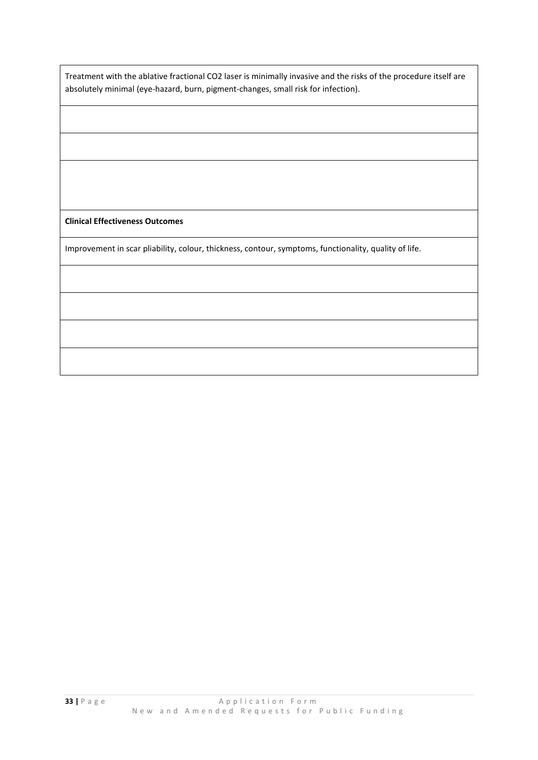Treatment with the ablative fractional CO2 laser is minimally invasive and the risks of the procedure itself are absolutely minimal (eye-hazard, burn, pigment-changes, small risk for infection).

**Clinical Effectiveness Outcomes**

Improvement in scar pliability, colour, thickness, contour, symptoms, functionality, quality of life.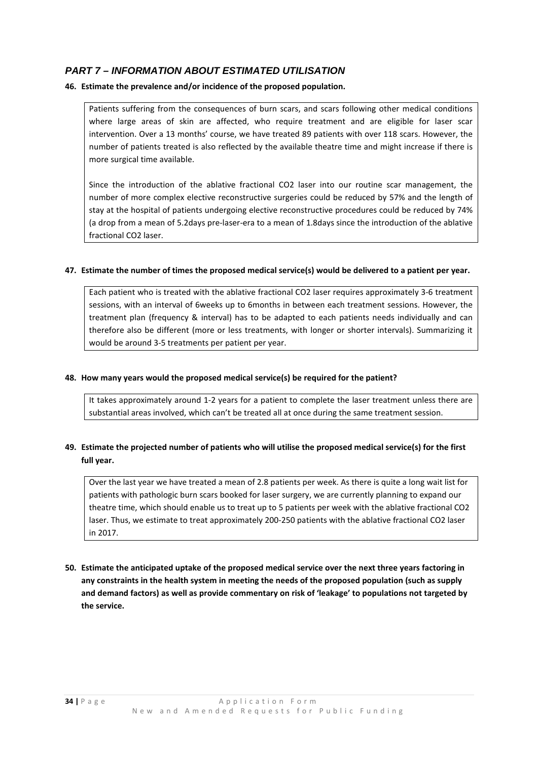# *PART 7 – INFORMATION ABOUT ESTIMATED UTILISATION*

## **46. Estimate the prevalence and/or incidence of the proposed population.**

Patients suffering from the consequences of burn scars, and scars following other medical conditions where large areas of skin are affected, who require treatment and are eligible for laser scar intervention. Over a 13 months' course, we have treated 89 patients with over 118 scars. However, the number of patients treated is also reflected by the available theatre time and might increase if there is more surgical time available.

Since the introduction of the ablative fractional CO2 laser into our routine scar management, the number of more complex elective reconstructive surgeries could be reduced by 57% and the length of stay at the hospital of patients undergoing elective reconstructive procedures could be reduced by 74% (a drop from a mean of 5.2days pre-laser-era to a mean of 1.8days since the introduction of the ablative fractional CO2 laser.

### **47. Estimate the number of times the proposed medical service(s) would be delivered to a patient per year.**

Each patient who is treated with the ablative fractional CO2 laser requires approximately 3-6 treatment sessions, with an interval of 6weeks up to 6months in between each treatment sessions. However, the treatment plan (frequency & interval) has to be adapted to each patients needs individually and can therefore also be different (more or less treatments, with longer or shorter intervals). Summarizing it would be around 3-5 treatments per patient per year.

## **48. How many years would the proposed medical service(s) be required for the patient?**

It takes approximately around 1-2 years for a patient to complete the laser treatment unless there are substantial areas involved, which can't be treated all at once during the same treatment session.

## **49. Estimate the projected number of patients who will utilise the proposed medical service(s) for the first full year.**

Over the last year we have treated a mean of 2.8 patients per week. As there is quite a long wait list for patients with pathologic burn scars booked for laser surgery, we are currently planning to expand our theatre time, which should enable us to treat up to 5 patients per week with the ablative fractional CO2 laser. Thus, we estimate to treat approximately 200-250 patients with the ablative fractional CO2 laser in 2017.

**50. Estimate the anticipated uptake of the proposed medical service over the next three years factoring in any constraints in the health system in meeting the needs of the proposed population (such as supply and demand factors) as well as provide commentary on risk of 'leakage' to populations not targeted by the service.**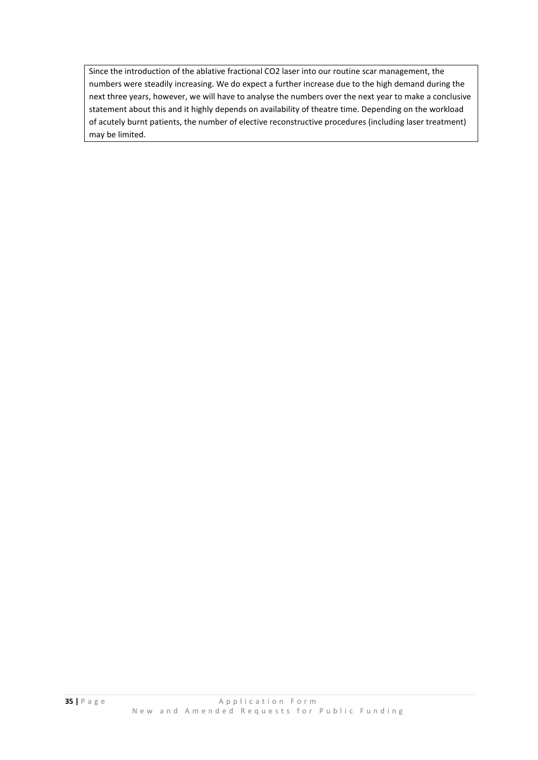Since the introduction of the ablative fractional CO2 laser into our routine scar management, the numbers were steadily increasing. We do expect a further increase due to the high demand during the next three years, however, we will have to analyse the numbers over the next year to make a conclusive statement about this and it highly depends on availability of theatre time. Depending on the workload of acutely burnt patients, the number of elective reconstructive procedures (including laser treatment) may be limited.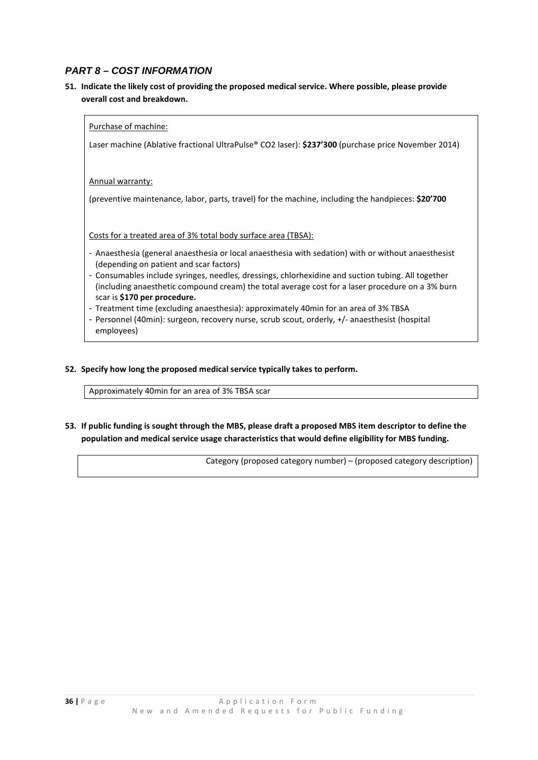## *PART 8 – COST INFORMATION*

**51. Indicate the likely cost of providing the proposed medical service. Where possible, please provide overall cost and breakdown.**

Purchase of machine:

Laser machine (Ablative fractional UltraPulse® CO2 laser): **\$237'300** (purchase price November 2014)

Annual warranty:

(preventive maintenance, labor, parts, travel) for the machine, including the handpieces: **\$20'700**

Costs for a treated area of 3% total body surface area (TBSA):

- Anaesthesia (general anaesthesia or local anaesthesia with sedation) with or without anaesthesist (depending on patient and scar factors)
- Consumables include syringes, needles, dressings, chlorhexidine and suction tubing. All together (including anaesthetic compound cream) the total average cost for a laser procedure on a 3% burn scar is **\$170 per procedure.**
- Treatment time (excluding anaesthesia): approximately 40min for an area of 3% TBSA
- Personnel (40min): surgeon, recovery nurse, scrub scout, orderly, +/- anaesthesist (hospital employees)
- **52. Specify how long the proposed medical service typically takes to perform.**

Approximately 40min for an area of 3% TBSA scar

**53. If public funding is sought through the MBS, please draft a proposed MBS item descriptor to define the population and medical service usage characteristics that would define eligibility for MBS funding.**

Category (proposed category number) – (proposed category description)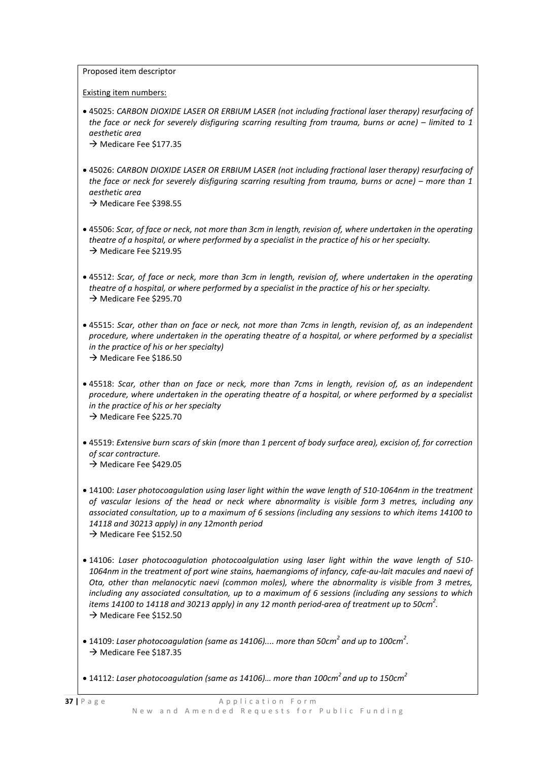Proposed item descriptor

Existing item numbers:

• 45025: *CARBON DIOXIDE LASER OR ERBIUM LASER (not including fractional laser therapy) resurfacing of the face or neck for severely disfiguring scarring resulting from trauma, burns or acne) – limited to 1 aesthetic area*

 $\rightarrow$  Medicare Fee \$177.35

- 45026: *CARBON DIOXIDE LASER OR ERBIUM LASER (not including fractional laser therapy) resurfacing of the face or neck for severely disfiguring scarring resulting from trauma, burns or acne) – more than 1 aesthetic area*  $\rightarrow$  Medicare Fee \$398.55
- 45506: *Scar, of face or neck, not more than 3cm in length, revision of, where undertaken in the operating theatre of a hospital, or where performed by a specialist in the practice of his or her specialty.*  $\rightarrow$  Medicare Fee \$219.95
- 45512: *Scar, of face or neck, more than 3cm in length, revision of, where undertaken in the operating theatre of a hospital, or where performed by a specialist in the practice of his or her specialty.*  $\rightarrow$  Medicare Fee \$295.70
- 45515: *Scar, other than on face or neck, not more than 7cms in length, revision of, as an independent procedure, where undertaken in the operating theatre of a hospital, or where performed by a specialist in the practice of his or her specialty)*  $\rightarrow$  Medicare Fee \$186.50
- 45518: *Scar, other than on face or neck, more than 7cms in length, revision of, as an independent procedure, where undertaken in the operating theatre of a hospital, or where performed by a specialist in the practice of his or her specialty*  $\rightarrow$  Medicare Fee \$225.70
- 45519: *Extensive burn scars of skin (more than 1 percent of body surface area), excision of, for correction of scar contracture.*  $\rightarrow$  Medicare Fee \$429.05
- 14100: *Laser photocoagulation using laser light within the wave length of 510-1064nm in the treatment of vascular lesions of the head or neck where abnormality is visible form 3 metres, including any associated consultation, up to a maximum of 6 sessions (including any sessions to which items 14100 to 14118 and 30213 apply) in any 12month period*   $\rightarrow$  Medicare Fee \$152.50
- 14106: *Laser photocoagulation photocoalgulation using laser light within the wave length of 510- 1064nm in the treatment of port wine stains, haemangioms of infancy, cafe-au-lait macules and naevi of Ota, other than melanocytic naevi (common moles), where the abnormality is visible from 3 metres, including any associated consultation, up to a maximum of 6 sessions (including any sessions to which items 14100 to 14118 and 30213 apply) in any 12 month period-area of treatment up to 50cm<sup>2</sup> .*  $\rightarrow$  Medicare Fee \$152.50
- 14109: *Laser photocoagulation (same as 14106).... more than 50cm<sup>2</sup> and up to 100cm<sup>2</sup> .*  $\rightarrow$  Medicare Fee \$187.35
- 14112: *Laser photocoagulation (same as 14106)… more than 100cm2 and up to 150cm2*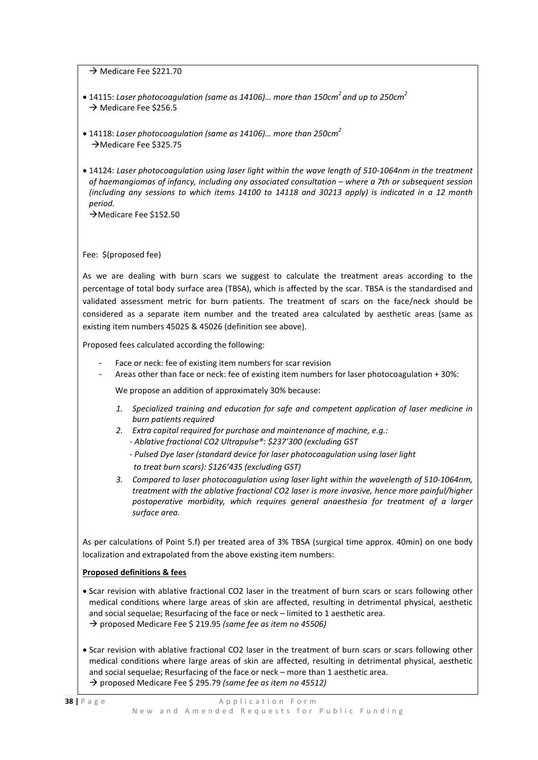$\rightarrow$  Medicare Fee \$221.70

- 14115: *Laser photocoagulation (same as 14106)… more than 150cm2 and up to 250cm2*  $\rightarrow$  Medicare Fee \$256.5
- 14118: *Laser photocoagulation (same as 14106)… more than 250cm<sup>2</sup>* → Medicare Fee \$325.75
- 14124: *Laser photocoagulation using laser light within the wave length of 510-1064nm in the treatment of haemangiomas of infancy, including any associated consultation – where a 7th or subsequent session (including any sessions to which items 14100 to 14118 and 30213 apply) is indicated in a 12 month period.*

→ Medicare Fee \$152.50

#### Fee: \$(proposed fee)

As we are dealing with burn scars we suggest to calculate the treatment areas according to the percentage of total body surface area (TBSA), which is affected by the scar. TBSA is the standardised and validated assessment metric for burn patients. The treatment of scars on the face/neck should be considered as a separate item number and the treated area calculated by aesthetic areas (same as existing item numbers 45025 & 45026 (definition see above).

Proposed fees calculated according the following:

- Face or neck: fee of existing item numbers for scar revision
- Areas other than face or neck: fee of existing item numbers for laser photocoagulation + 30%:

We propose an addition of approximately 30% because:

- *1. Specialized training and education for safe and competent application of laser medicine in burn patients required*
- *2. Extra capital required for purchase and maintenance of machine, e.g.: - Ablative fractional CO2 Ultrapulse®: \$237'300 (excluding GST*
	- *- Pulsed Dye laser (standard device for laser photocoagulation using laser light to treat burn scars): \$126'435 (excluding GST)*
- *3. Compared to laser photocoagulation using laser light within the wavelength of 510-1064nm, treatment with the ablative fractional CO2 laser is more invasive, hence more painful/higher postoperative morbidity, which requires general anaesthesia for treatment of a larger surface area.*

As per calculations of Point 5.f) per treated area of 3% TBSA (surgical time approx. 40min) on one body localization and extrapolated from the above existing item numbers:

#### **Proposed definitions & fees**

- Scar revision with ablative fractional CO2 laser in the treatment of burn scars or scars following other medical conditions where large areas of skin are affected, resulting in detrimental physical, aesthetic and social sequelae; Resurfacing of the face or neck – limited to 1 aesthetic area. proposed Medicare Fee \$ 219.95 *(same fee as item no 45506)*
- Scar revision with ablative fractional CO2 laser in the treatment of burn scars or scars following other medical conditions where large areas of skin are affected, resulting in detrimental physical, aesthetic and social sequelae; Resurfacing of the face or neck – more than 1 aesthetic area. → proposed Medicare Fee \$ 295.79 *(same fee as item no 45512)*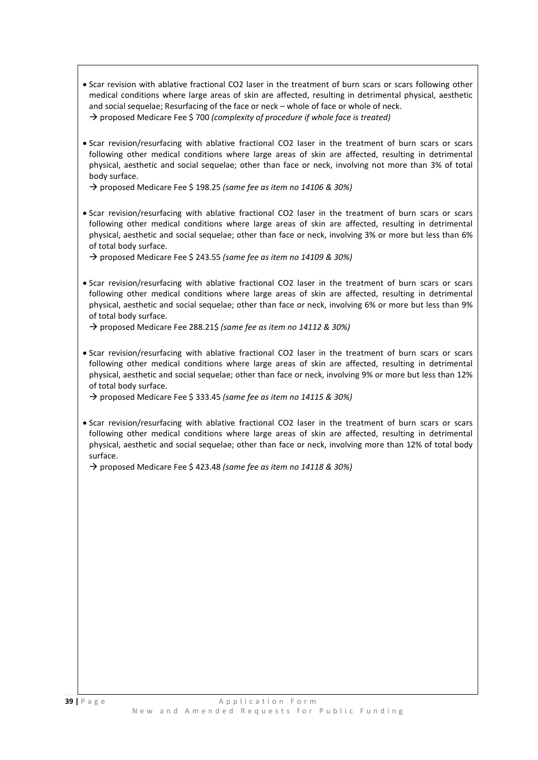- Scar revision with ablative fractional CO2 laser in the treatment of burn scars or scars following other medical conditions where large areas of skin are affected, resulting in detrimental physical, aesthetic and social sequelae; Resurfacing of the face or neck – whole of face or whole of neck. proposed Medicare Fee \$ 700 *(complexity of procedure if whole face is treated)*
- Scar revision/resurfacing with ablative fractional CO2 laser in the treatment of burn scars or scars following other medical conditions where large areas of skin are affected, resulting in detrimental physical, aesthetic and social sequelae; other than face or neck, involving not more than 3% of total body surface.

proposed Medicare Fee \$ 198.25 *(same fee as item no 14106 & 30%)*

• Scar revision/resurfacing with ablative fractional CO2 laser in the treatment of burn scars or scars following other medical conditions where large areas of skin are affected, resulting in detrimental physical, aesthetic and social sequelae; other than face or neck, involving 3% or more but less than 6% of total body surface.

proposed Medicare Fee \$ 243.55 *(same fee as item no 14109 & 30%)*

• Scar revision/resurfacing with ablative fractional CO2 laser in the treatment of burn scars or scars following other medical conditions where large areas of skin are affected, resulting in detrimental physical, aesthetic and social sequelae; other than face or neck, involving 6% or more but less than 9% of total body surface.

proposed Medicare Fee 288.21\$ *(same fee as item no 14112 & 30%)*

• Scar revision/resurfacing with ablative fractional CO2 laser in the treatment of burn scars or scars following other medical conditions where large areas of skin are affected, resulting in detrimental physical, aesthetic and social sequelae; other than face or neck, involving 9% or more but less than 12% of total body surface.

proposed Medicare Fee \$ 333.45 *(same fee as item no 14115 & 30%)*

• Scar revision/resurfacing with ablative fractional CO2 laser in the treatment of burn scars or scars following other medical conditions where large areas of skin are affected, resulting in detrimental physical, aesthetic and social sequelae; other than face or neck, involving more than 12% of total body surface.

proposed Medicare Fee \$ 423.48 *(same fee as item no 14118 & 30%)*